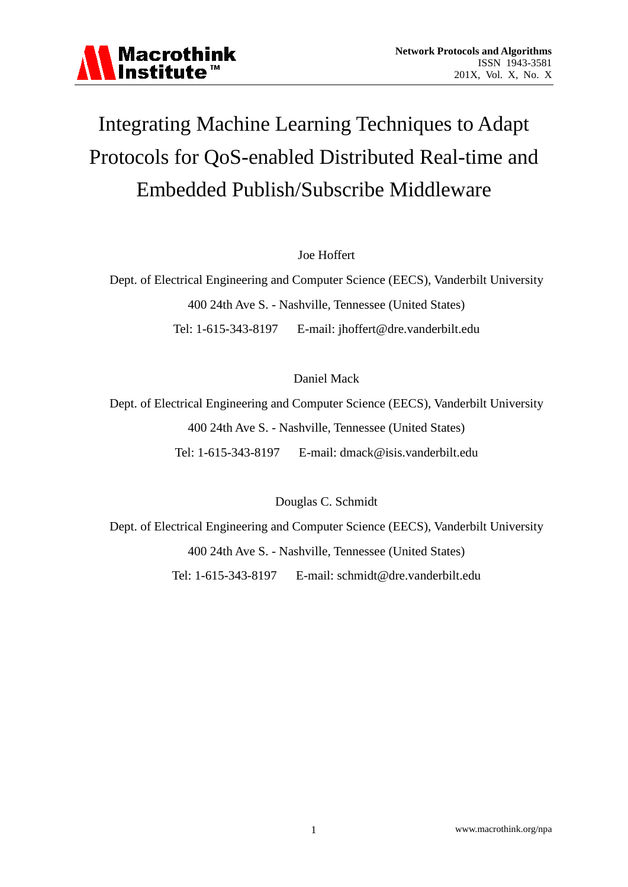

### Integrating Machine Learning Techniques to Adapt Protocols for QoS-enabled Distributed Real-time and Embedded Publish/Subscribe Middleware

Joe Hoffert

Dept. of Electrical Engineering and Computer Science (EECS), Vanderbilt University 400 24th Ave S. - Nashville, Tennessee (United States) Tel: 1-615-343-8197 E-mail: jhoffert@dre.vanderbilt.edu

Daniel Mack

Dept. of Electrical Engineering and Computer Science (EECS), Vanderbilt University 400 24th Ave S. - Nashville, Tennessee (United States) Tel: 1-615-343-8197 E-mail: dmack@isis.vanderbilt.edu

Douglas C. Schmidt

Dept. of Electrical Engineering and Computer Science (EECS), Vanderbilt University 400 24th Ave S. - Nashville, Tennessee (United States) Tel: 1-615-343-8197 E-mail: schmidt@dre.vanderbilt.edu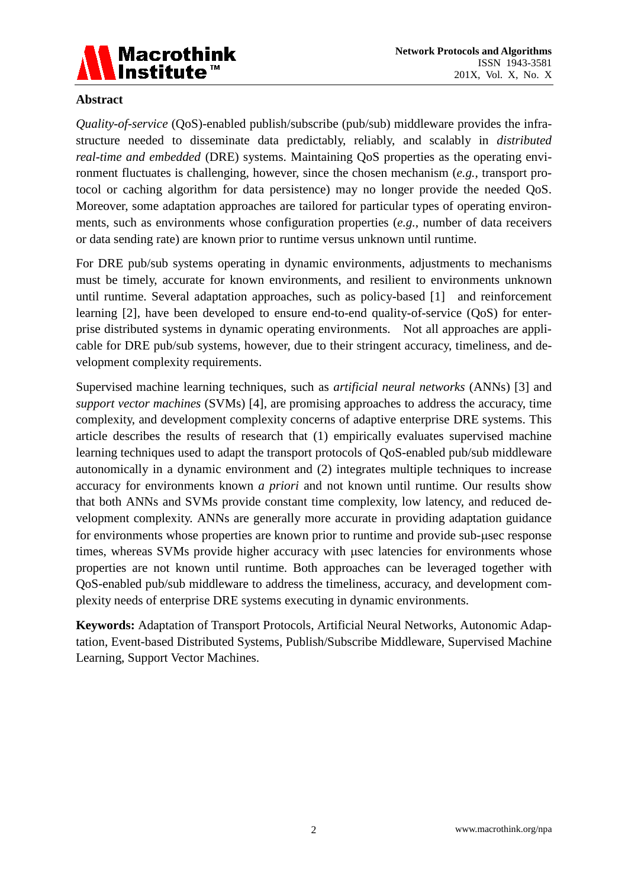

#### **Abstract**

*Quality-of-service* (QoS)-enabled publish/subscribe (pub/sub) middleware provides the infrastructure needed to disseminate data predictably, reliably, and scalably in *distributed real-time and embedded* (DRE) systems. Maintaining OoS properties as the operating environment fluctuates is challenging, however, since the chosen mechanism (*e.g.*, transport protocol or caching algorithm for data persistence) may no longer provide the needed QoS. Moreover, some adaptation approaches are tailored for particular types of operating environments, such as environments whose configuration properties (*e.g.*, number of data receivers or data sending rate) are known prior to runtime versus unknown until runtime.

For DRE pub/sub systems operating in dynamic environments, adjustments to mechanisms must be timely, accurate for known environments, and resilient to environments unknown until runtime. Several adaptation approaches, such as policy-based [1] and reinforcement learning [2], have been developed to ensure end-to-end quality-of-service (QoS) for enterprise distributed systems in dynamic operating environments. Not all approaches are applicable for DRE pub/sub systems, however, due to their stringent accuracy, timeliness, and development complexity requirements.

Supervised machine learning techniques, such as *artificial neural networks* (ANNs) [3] and *support vector machines* (SVMs) [4], are promising approaches to address the accuracy, time complexity, and development complexity concerns of adaptive enterprise DRE systems. This article describes the results of research that (1) empirically evaluates supervised machine learning techniques used to adapt the transport protocols of QoS-enabled pub/sub middleware autonomically in a dynamic environment and (2) integrates multiple techniques to increase accuracy for environments known *a priori* and not known until runtime. Our results show that both ANNs and SVMs provide constant time complexity, low latency, and reduced development complexity. ANNs are generally more accurate in providing adaptation guidance for environments whose properties are known prior to runtime and provide sub-µsec response times, whereas SVMs provide higher accuracy with µsec latencies for environments whose properties are not known until runtime. Both approaches can be leveraged together with QoS-enabled pub/sub middleware to address the timeliness, accuracy, and development complexity needs of enterprise DRE systems executing in dynamic environments.

**Keywords:** Adaptation of Transport Protocols, Artificial Neural Networks, Autonomic Adaptation, Event-based Distributed Systems, Publish/Subscribe Middleware, Supervised Machine Learning, Support Vector Machines.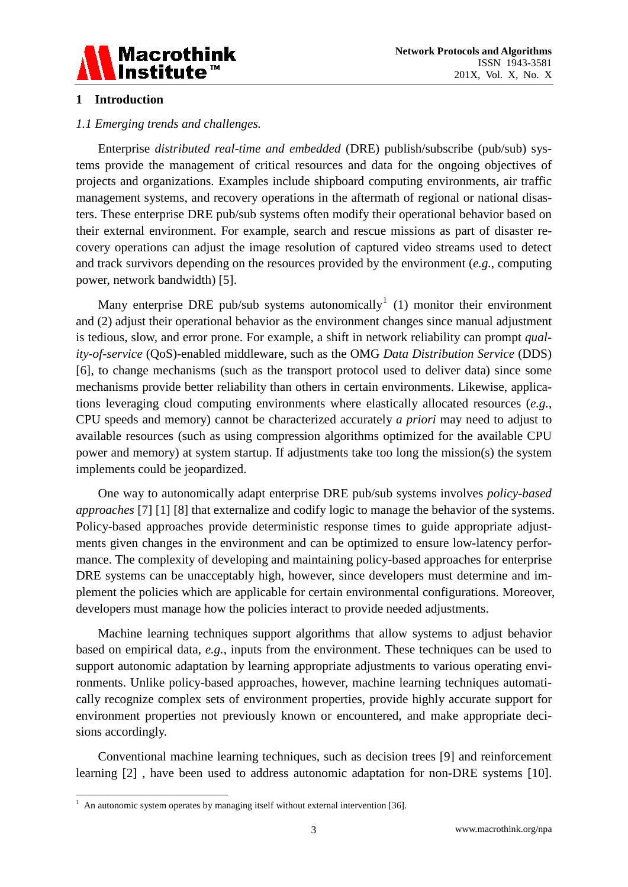

#### **1 Introduction**

#### *1.1 Emerging trends and challenges.*

Enterprise *distributed real-time and embedded* (DRE) publish/subscribe (pub/sub) systems provide the management of critical resources and data for the ongoing objectives of projects and organizations. Examples include shipboard computing environments, air traffic management systems, and recovery operations in the aftermath of regional or national disasters. These enterprise DRE pub/sub systems often modify their operational behavior based on their external environment. For example, search and rescue missions as part of disaster recovery operations can adjust the image resolution of captured video streams used to detect and track survivors depending on the resources provided by the environment (*e.g.*, computing power, network bandwidth) [5].

Many enterprise DRE pub/sub systems autonomically<sup>[1](#page-2-0)</sup> (1) monitor their environment and (2) adjust their operational behavior as the environment changes since manual adjustment is tedious, slow, and error prone. For example, a shift in network reliability can prompt *quality-of-service* (QoS)-enabled middleware, such as the OMG *Data Distribution Service* (DDS) [6], to change mechanisms (such as the transport protocol used to deliver data) since some mechanisms provide better reliability than others in certain environments. Likewise, applications leveraging cloud computing environments where elastically allocated resources (*e.g.*, CPU speeds and memory) cannot be characterized accurately *a priori* may need to adjust to available resources (such as using compression algorithms optimized for the available CPU power and memory) at system startup. If adjustments take too long the mission(s) the system implements could be jeopardized.

One way to autonomically adapt enterprise DRE pub/sub systems involves *policy-based approaches* [7] [1] [8] that externalize and codify logic to manage the behavior of the systems. Policy-based approaches provide deterministic response times to guide appropriate adjustments given changes in the environment and can be optimized to ensure low-latency performance. The complexity of developing and maintaining policy-based approaches for enterprise DRE systems can be unacceptably high, however, since developers must determine and implement the policies which are applicable for certain environmental configurations. Moreover, developers must manage how the policies interact to provide needed adjustments.

Machine learning techniques support algorithms that allow systems to adjust behavior based on empirical data, *e.g.*, inputs from the environment. These techniques can be used to support autonomic adaptation by learning appropriate adjustments to various operating environments. Unlike policy-based approaches, however, machine learning techniques automatically recognize complex sets of environment properties, provide highly accurate support for environment properties not previously known or encountered, and make appropriate decisions accordingly.

Conventional machine learning techniques, such as decision trees [9] and reinforcement learning [2] , have been used to address autonomic adaptation for non-DRE systems [10].

<span id="page-2-0"></span><sup>&</sup>lt;sup>1</sup> An autonomic system operates by managing itself without external intervention [36].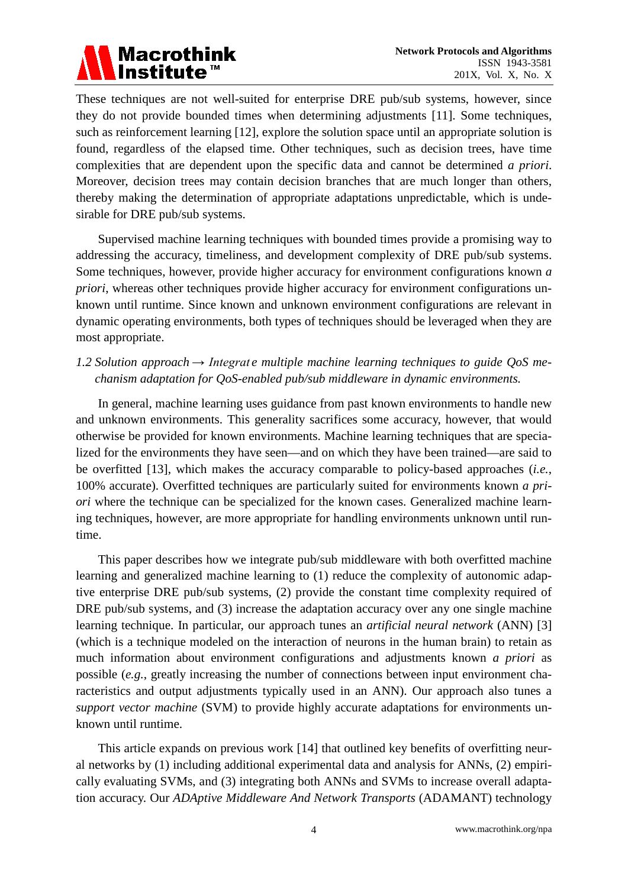These techniques are not well-suited for enterprise DRE pub/sub systems, however, since they do not provide bounded times when determining adjustments [11]. Some techniques, such as reinforcement learning [12], explore the solution space until an appropriate solution is found, regardless of the elapsed time. Other techniques, such as decision trees, have time complexities that are dependent upon the specific data and cannot be determined *a priori*. Moreover, decision trees may contain decision branches that are much longer than others, thereby making the determination of appropriate adaptations unpredictable, which is undesirable for DRE pub/sub systems.

Supervised machine learning techniques with bounded times provide a promising way to addressing the accuracy, timeliness, and development complexity of DRE pub/sub systems. Some techniques, however, provide higher accuracy for environment configurations known *a priori*, whereas other techniques provide higher accuracy for environment configurations unknown until runtime. Since known and unknown environment configurations are relevant in dynamic operating environments, both types of techniques should be leveraged when they are most appropriate.

#### *1.2 Solution approach → Integrat e multiple machine learning techniques to guide QoS mechanism adaptation for QoS-enabled pub/sub middleware in dynamic environments.*

In general, machine learning uses guidance from past known environments to handle new and unknown environments. This generality sacrifices some accuracy, however, that would otherwise be provided for known environments. Machine learning techniques that are specialized for the environments they have seen—and on which they have been trained—are said to be overfitted [13], which makes the accuracy comparable to policy-based approaches (*i.e.*, 100% accurate). Overfitted techniques are particularly suited for environments known *a priori* where the technique can be specialized for the known cases. Generalized machine learning techniques, however, are more appropriate for handling environments unknown until runtime.

This paper describes how we integrate pub/sub middleware with both overfitted machine learning and generalized machine learning to (1) reduce the complexity of autonomic adaptive enterprise DRE pub/sub systems, (2) provide the constant time complexity required of DRE pub/sub systems, and (3) increase the adaptation accuracy over any one single machine learning technique. In particular, our approach tunes an *artificial neural network* (ANN) [3] (which is a technique modeled on the interaction of neurons in the human brain) to retain as much information about environment configurations and adjustments known *a priori* as possible (*e.g.*, greatly increasing the number of connections between input environment characteristics and output adjustments typically used in an ANN). Our approach also tunes a *support vector machine* (SVM) to provide highly accurate adaptations for environments unknown until runtime.

This article expands on previous work [14] that outlined key benefits of overfitting neural networks by (1) including additional experimental data and analysis for ANNs, (2) empirically evaluating SVMs, and (3) integrating both ANNs and SVMs to increase overall adaptation accuracy. Our *ADAptive Middleware And Network Transports* (ADAMANT) technology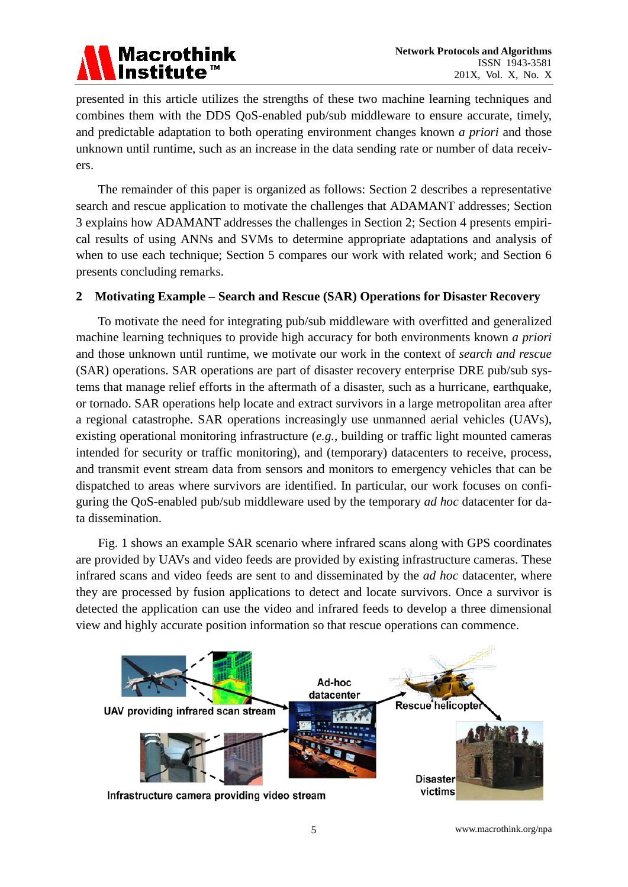### **Macrothink** Institute

presented in this article utilizes the strengths of these two machine learning techniques and combines them with the DDS QoS-enabled pub/sub middleware to ensure accurate, timely, and predictable adaptation to both operating environment changes known *a priori* and those unknown until runtime, such as an increase in the data sending rate or number of data receivers.

The remainder of this paper is organized as follows: Section [2](#page-4-0) describes a representative search and rescue application to motivate the challenges that ADAMANT addresses; Section [3](#page-6-0) explains how ADAMANT addresses the challenges in Section [2;](#page-4-0) Section [4](#page-13-0) presents empirical results of using ANNs and SVMs to determine appropriate adaptations and analysis of when to use each technique; Section [5](#page-26-0) compares our work with related work; and Section [6](#page-28-0) presents concluding remarks.

#### <span id="page-4-0"></span>**2 Motivating Example – Search and Rescue (SAR) Operations for Disaster Recovery**

To motivate the need for integrating pub/sub middleware with overfitted and generalized machine learning techniques to provide high accuracy for both environments known *a priori* and those unknown until runtime, we motivate our work in the context of *search and rescue* (SAR) operations. SAR operations are part of disaster recovery enterprise DRE pub/sub systems that manage relief efforts in the aftermath of a disaster, such as a hurricane, earthquake, or tornado. SAR operations help locate and extract survivors in a large metropolitan area after a regional catastrophe. SAR operations increasingly use unmanned aerial vehicles (UAVs), existing operational monitoring infrastructure (*e.g.*, building or traffic light mounted cameras intended for security or traffic monitoring), and (temporary) datacenters to receive, process, and transmit event stream data from sensors and monitors to emergency vehicles that can be dispatched to areas where survivors are identified. In particular, our work focuses on configuring the QoS-enabled pub/sub middleware used by the temporary *ad hoc* datacenter for data dissemination.

[Fig.](#page-5-0) 1 shows an example SAR scenario where infrared scans along with GPS coordinates are provided by UAVs and video feeds are provided by existing infrastructure cameras. These infrared scans and video feeds are sent to and disseminated by the *ad hoc* datacenter, where they are processed by fusion applications to detect and locate survivors. Once a survivor is detected the application can use the video and infrared feeds to develop a three dimensional view and highly accurate position information so that rescue operations can commence.

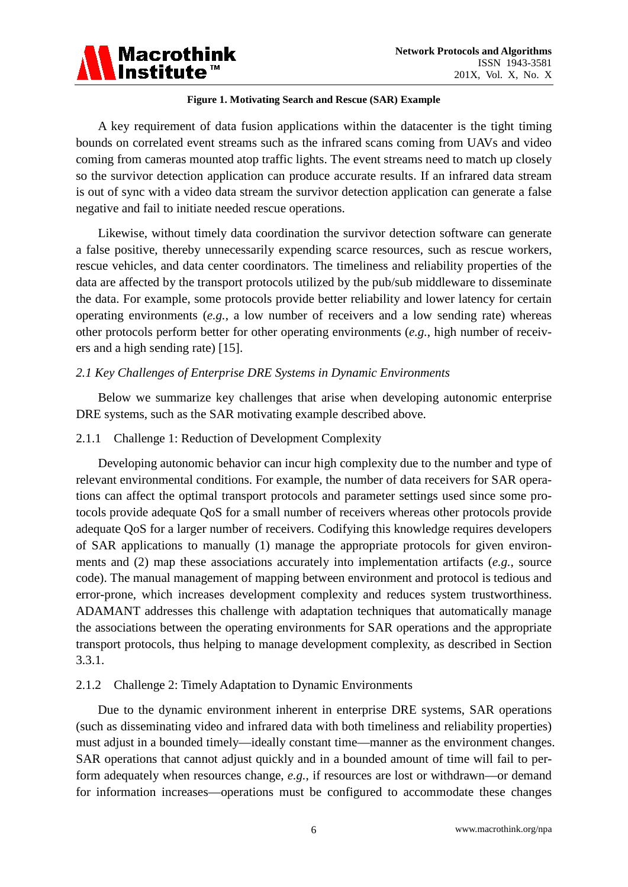### Macrothink<br>Institute™

#### **Figure 1. Motivating Search and Rescue (SAR) Example**

<span id="page-5-0"></span>A key requirement of data fusion applications within the datacenter is the tight timing bounds on correlated event streams such as the infrared scans coming from UAVs and video coming from cameras mounted atop traffic lights. The event streams need to match up closely so the survivor detection application can produce accurate results. If an infrared data stream is out of sync with a video data stream the survivor detection application can generate a false negative and fail to initiate needed rescue operations.

Likewise, without timely data coordination the survivor detection software can generate a false positive, thereby unnecessarily expending scarce resources, such as rescue workers, rescue vehicles, and data center coordinators. The timeliness and reliability properties of the data are affected by the transport protocols utilized by the pub/sub middleware to disseminate the data. For example, some protocols provide better reliability and lower latency for certain operating environments (*e.g.*, a low number of receivers and a low sending rate) whereas other protocols perform better for other operating environments (*e.g.*, high number of receivers and a high sending rate) [15].

#### <span id="page-5-1"></span>*2.1 Key Challenges of Enterprise DRE Systems in Dynamic Environments*

Below we summarize key challenges that arise when developing autonomic enterprise DRE systems, such as the SAR motivating example described above.

#### <span id="page-5-2"></span>2.1.1 Challenge 1: Reduction of Development Complexity

Developing autonomic behavior can incur high complexity due to the number and type of relevant environmental conditions. For example, the number of data receivers for SAR operations can affect the optimal transport protocols and parameter settings used since some protocols provide adequate QoS for a small number of receivers whereas other protocols provide adequate QoS for a larger number of receivers. Codifying this knowledge requires developers of SAR applications to manually (1) manage the appropriate protocols for given environments and (2) map these associations accurately into implementation artifacts (*e.g.*, source code). The manual management of mapping between environment and protocol is tedious and error-prone, which increases development complexity and reduces system trustworthiness. ADAMANT addresses this challenge with adaptation techniques that automatically manage the associations between the operating environments for SAR operations and the appropriate transport protocols, thus helping to manage development complexity, as described in Section [3.3.1.](#page-11-0)

#### <span id="page-5-3"></span>2.1.2 Challenge 2: Timely Adaptation to Dynamic Environments

Due to the dynamic environment inherent in enterprise DRE systems, SAR operations (such as disseminating video and infrared data with both timeliness and reliability properties) must adjust in a bounded timely—ideally constant time—manner as the environment changes. SAR operations that cannot adjust quickly and in a bounded amount of time will fail to perform adequately when resources change, *e.g.*, if resources are lost or withdrawn—or demand for information increases—operations must be configured to accommodate these changes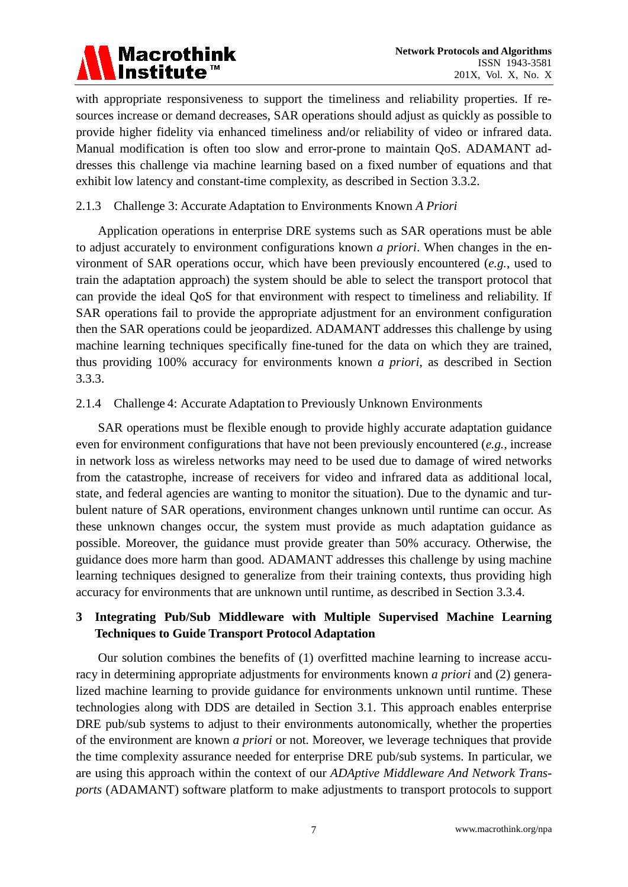

with appropriate responsiveness to support the timeliness and reliability properties. If resources increase or demand decreases, SAR operations should adjust as quickly as possible to provide higher fidelity via enhanced timeliness and/or reliability of video or infrared data. Manual modification is often too slow and error-prone to maintain QoS. ADAMANT addresses this challenge via machine learning based on a fixed number of equations and that exhibit low latency and constant-time complexity, as described in Section [3.3.2.](#page-11-1)

#### <span id="page-6-1"></span>2.1.3 Challenge 3: Accurate Adaptation to Environments Known *A Priori*

Application operations in enterprise DRE systems such as SAR operations must be able to adjust accurately to environment configurations known *a priori*. When changes in the environment of SAR operations occur, which have been previously encountered (*e.g.*, used to train the adaptation approach) the system should be able to select the transport protocol that can provide the ideal QoS for that environment with respect to timeliness and reliability. If SAR operations fail to provide the appropriate adjustment for an environment configuration then the SAR operations could be jeopardized. ADAMANT addresses this challenge by using machine learning techniques specifically fine-tuned for the data on which they are trained, thus providing 100% accuracy for environments known *a priori*, as described in Section [3.3.3.](#page-12-0)

#### <span id="page-6-2"></span>2.1.4 Challenge 4: Accurate Adaptation to Previously Unknown Environments

SAR operations must be flexible enough to provide highly accurate adaptation guidance even for environment configurations that have not been previously encountered (*e.g.*, increase in network loss as wireless networks may need to be used due to damage of wired networks from the catastrophe, increase of receivers for video and infrared data as additional local, state, and federal agencies are wanting to monitor the situation). Due to the dynamic and turbulent nature of SAR operations, environment changes unknown until runtime can occur. As these unknown changes occur, the system must provide as much adaptation guidance as possible. Moreover, the guidance must provide greater than 50% accuracy. Otherwise, the guidance does more harm than good. ADAMANT addresses this challenge by using machine learning techniques designed to generalize from their training contexts, thus providing high accuracy for environments that are unknown until runtime, as described in Section [3.3.4.](#page-12-1)

#### <span id="page-6-0"></span>**3 Integrating Pub/Sub Middleware with Multiple Supervised Machine Learning Techniques to Guide Transport Protocol Adaptation**

Our solution combines the benefits of (1) overfitted machine learning to increase accuracy in determining appropriate adjustments for environments known *a priori* and (2) generalized machine learning to provide guidance for environments unknown until runtime. These technologies along with DDS are detailed in Section [3.1.](#page-7-0) This approach enables enterprise DRE pub/sub systems to adjust to their environments autonomically, whether the properties of the environment are known *a priori* or not. Moreover, we leverage techniques that provide the time complexity assurance needed for enterprise DRE pub/sub systems. In particular, we are using this approach within the context of our *ADAptive Middleware And Network Transports* (ADAMANT) software platform to make adjustments to transport protocols to support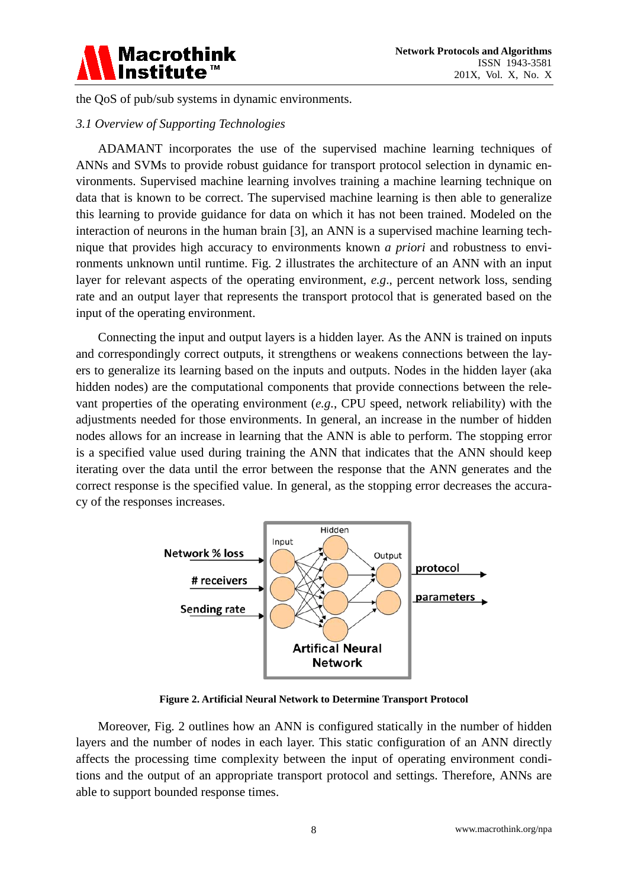

the QoS of pub/sub systems in dynamic environments.

#### <span id="page-7-0"></span>*3.1 Overview of Supporting Technologies*

ADAMANT incorporates the use of the supervised machine learning techniques of ANNs and SVMs to provide robust guidance for transport protocol selection in dynamic environments. Supervised machine learning involves training a machine learning technique on data that is known to be correct. The supervised machine learning is then able to generalize this learning to provide guidance for data on which it has not been trained. Modeled on the interaction of neurons in the human brain [3], an ANN is a supervised machine learning technique that provides high accuracy to environments known *a priori* and robustness to environments unknown until runtime. [Fig.](#page-7-1) 2 illustrates the architecture of an ANN with an input layer for relevant aspects of the operating environment, *e.g*., percent network loss, sending rate and an output layer that represents the transport protocol that is generated based on the input of the operating environment.

Connecting the input and output layers is a hidden layer. As the ANN is trained on inputs and correspondingly correct outputs, it strengthens or weakens connections between the layers to generalize its learning based on the inputs and outputs. Nodes in the hidden layer (aka hidden nodes) are the computational components that provide connections between the relevant properties of the operating environment (*e.g.*, CPU speed, network reliability) with the adjustments needed for those environments. In general, an increase in the number of hidden nodes allows for an increase in learning that the ANN is able to perform. The stopping error is a specified value used during training the ANN that indicates that the ANN should keep iterating over the data until the error between the response that the ANN generates and the correct response is the specified value. In general, as the stopping error decreases the accuracy of the responses increases.



**Figure 2. Artificial Neural Network to Determine Transport Protocol**

<span id="page-7-1"></span>Moreover, [Fig.](#page-7-1) 2 outlines how an ANN is configured statically in the number of hidden layers and the number of nodes in each layer. This static configuration of an ANN directly affects the processing time complexity between the input of operating environment conditions and the output of an appropriate transport protocol and settings. Therefore, ANNs are able to support bounded response times.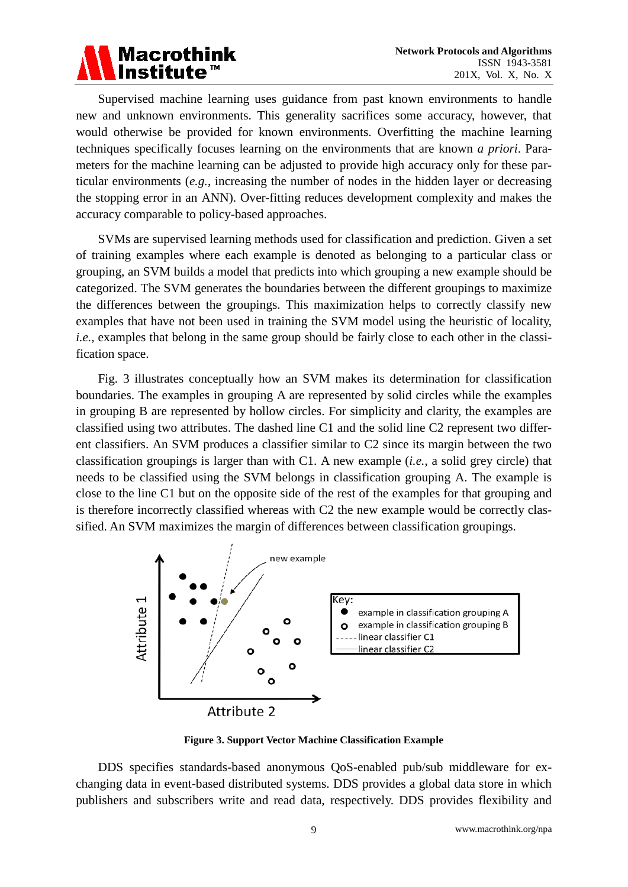**Macrothink** 

Supervised machine learning uses guidance from past known environments to handle new and unknown environments. This generality sacrifices some accuracy, however, that would otherwise be provided for known environments. Overfitting the machine learning techniques specifically focuses learning on the environments that are known *a priori*. Parameters for the machine learning can be adjusted to provide high accuracy only for these particular environments (*e.g.*, increasing the number of nodes in the hidden layer or decreasing the stopping error in an ANN). Over-fitting reduces development complexity and makes the accuracy comparable to policy-based approaches.

SVMs are supervised learning methods used for classification and prediction. Given a set of training examples where each example is denoted as belonging to a particular class or grouping, an SVM builds a model that predicts into which grouping a new example should be categorized. The SVM generates the boundaries between the different groupings to maximize the differences between the groupings. This maximization helps to correctly classify new examples that have not been used in training the SVM model using the heuristic of locality, *i.e.*, examples that belong in the same group should be fairly close to each other in the classification space.

[Fig.](#page-8-0) 3 illustrates conceptually how an SVM makes its determination for classification boundaries. The examples in grouping A are represented by solid circles while the examples in grouping B are represented by hollow circles. For simplicity and clarity, the examples are classified using two attributes. The dashed line C1 and the solid line C2 represent two different classifiers. An SVM produces a classifier similar to C2 since its margin between the two classification groupings is larger than with C1. A new example (*i.e.*, a solid grey circle) that needs to be classified using the SVM belongs in classification grouping A. The example is close to the line C1 but on the opposite side of the rest of the examples for that grouping and is therefore incorrectly classified whereas with C2 the new example would be correctly classified. An SVM maximizes the margin of differences between classification groupings.



**Figure 3. Support Vector Machine Classification Example**

<span id="page-8-0"></span>DDS specifies standards-based anonymous QoS-enabled pub/sub middleware for exchanging data in event-based distributed systems. DDS provides a global data store in which publishers and subscribers write and read data, respectively. DDS provides flexibility and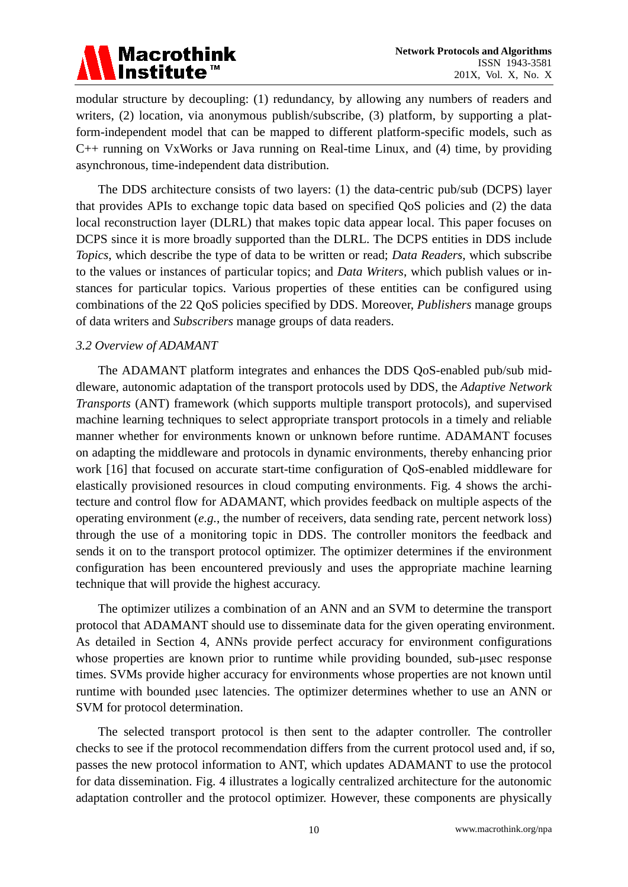

modular structure by decoupling: (1) redundancy, by allowing any numbers of readers and writers, (2) location, via anonymous publish/subscribe, (3) platform, by supporting a platform-independent model that can be mapped to different platform-specific models, such as C++ running on VxWorks or Java running on Real-time Linux, and (4) time, by providing asynchronous, time-independent data distribution.

The DDS architecture consists of two layers: (1) the data-centric pub/sub (DCPS) layer that provides APIs to exchange topic data based on specified QoS policies and (2) the data local reconstruction layer (DLRL) that makes topic data appear local. This paper focuses on DCPS since it is more broadly supported than the DLRL. The DCPS entities in DDS include *Topics*, which describe the type of data to be written or read; *Data Readers*, which subscribe to the values or instances of particular topics; and *Data Writers*, which publish values or instances for particular topics. Various properties of these entities can be configured using combinations of the 22 QoS policies specified by DDS. Moreover, *Publishers* manage groups of data writers and *Subscribers* manage groups of data readers.

#### <span id="page-9-0"></span>*3.2 Overview of ADAMANT*

The ADAMANT platform integrates and enhances the DDS QoS-enabled pub/sub middleware, autonomic adaptation of the transport protocols used by DDS, the *Adaptive Network Transports* (ANT) framework (which supports multiple transport protocols), and supervised machine learning techniques to select appropriate transport protocols in a timely and reliable manner whether for environments known or unknown before runtime. ADAMANT focuses on adapting the middleware and protocols in dynamic environments, thereby enhancing prior work [16] that focused on accurate start-time configuration of QoS-enabled middleware for elastically provisioned resources in cloud computing environments. [Fig.](#page-10-0) 4 shows the architecture and control flow for ADAMANT, which provides feedback on multiple aspects of the operating environment (*e.g.*, the number of receivers, data sending rate, percent network loss) through the use of a monitoring topic in DDS. The controller monitors the feedback and sends it on to the transport protocol optimizer. The optimizer determines if the environment configuration has been encountered previously and uses the appropriate machine learning technique that will provide the highest accuracy.

The optimizer utilizes a combination of an ANN and an SVM to determine the transport protocol that ADAMANT should use to disseminate data for the given operating environment. As detailed in Section [4,](#page-13-0) ANNs provide perfect accuracy for environment configurations whose properties are known prior to runtime while providing bounded, sub-usec response times. SVMs provide higher accuracy for environments whose properties are not known until runtime with bounded µsec latencies. The optimizer determines whether to use an ANN or SVM for protocol determination.

The selected transport protocol is then sent to the adapter controller. The controller checks to see if the protocol recommendation differs from the current protocol used and, if so, passes the new protocol information to ANT, which updates ADAMANT to use the protocol for data dissemination. [Fig.](#page-10-0) 4 illustrates a logically centralized architecture for the autonomic adaptation controller and the protocol optimizer. However, these components are physically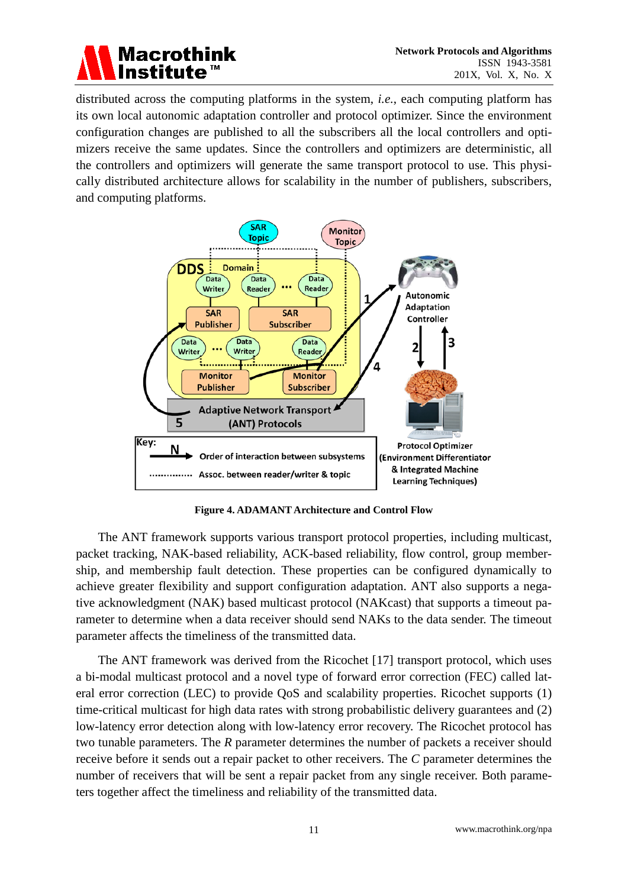

distributed across the computing platforms in the system, *i.e.*, each computing platform has its own local autonomic adaptation controller and protocol optimizer. Since the environment configuration changes are published to all the subscribers all the local controllers and optimizers receive the same updates. Since the controllers and optimizers are deterministic, all the controllers and optimizers will generate the same transport protocol to use. This physically distributed architecture allows for scalability in the number of publishers, subscribers, and computing platforms.



**Figure 4. ADAMANT Architecture and Control Flow**

<span id="page-10-0"></span>The ANT framework supports various transport protocol properties, including multicast, packet tracking, NAK-based reliability, ACK-based reliability, flow control, group membership, and membership fault detection. These properties can be configured dynamically to achieve greater flexibility and support configuration adaptation. ANT also supports a negative acknowledgment (NAK) based multicast protocol (NAKcast) that supports a timeout parameter to determine when a data receiver should send NAKs to the data sender. The timeout parameter affects the timeliness of the transmitted data.

The ANT framework was derived from the Ricochet [17] transport protocol, which uses a bi-modal multicast protocol and a novel type of forward error correction (FEC) called lateral error correction (LEC) to provide QoS and scalability properties. Ricochet supports (1) time-critical multicast for high data rates with strong probabilistic delivery guarantees and (2) low-latency error detection along with low-latency error recovery. The Ricochet protocol has two tunable parameters. The *R* parameter determines the number of packets a receiver should receive before it sends out a repair packet to other receivers. The *C* parameter determines the number of receivers that will be sent a repair packet from any single receiver. Both parameters together affect the timeliness and reliability of the transmitted data.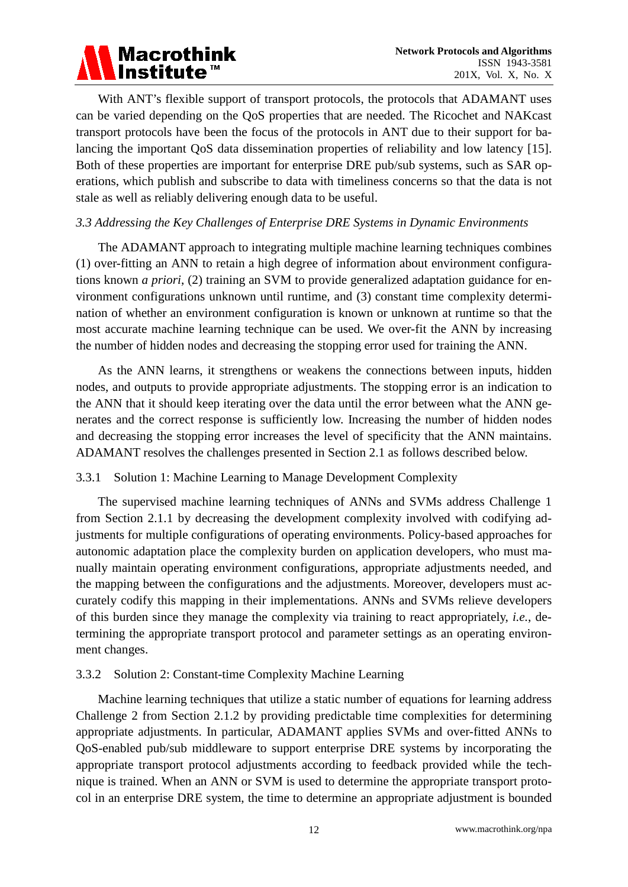# Macrothink<br>Institute™

With ANT's flexible support of transport protocols, the protocols that ADAMANT uses can be varied depending on the QoS properties that are needed. The Ricochet and NAKcast transport protocols have been the focus of the protocols in ANT due to their support for balancing the important QoS data dissemination properties of reliability and low latency [15]. Both of these properties are important for enterprise DRE pub/sub systems, such as SAR operations, which publish and subscribe to data with timeliness concerns so that the data is not stale as well as reliably delivering enough data to be useful.

#### *3.3 Addressing the Key Challenges of Enterprise DRE Systems in Dynamic Environments*

The ADAMANT approach to integrating multiple machine learning techniques combines (1) over-fitting an ANN to retain a high degree of information about environment configurations known *a priori*, (2) training an SVM to provide generalized adaptation guidance for environment configurations unknown until runtime, and (3) constant time complexity determination of whether an environment configuration is known or unknown at runtime so that the most accurate machine learning technique can be used. We over-fit the ANN by increasing the number of hidden nodes and decreasing the stopping error used for training the ANN.

As the ANN learns, it strengthens or weakens the connections between inputs, hidden nodes, and outputs to provide appropriate adjustments. The stopping error is an indication to the ANN that it should keep iterating over the data until the error between what the ANN generates and the correct response is sufficiently low. Increasing the number of hidden nodes and decreasing the stopping error increases the level of specificity that the ANN maintains. ADAMANT resolves the challenges presented in Section [2.1](#page-5-1) as follows described below.

#### <span id="page-11-0"></span>3.3.1 Solution 1: Machine Learning to Manage Development Complexity

The supervised machine learning techniques of ANNs and SVMs address Challenge 1 from Section [2.1.1](#page-5-2) by decreasing the development complexity involved with codifying adjustments for multiple configurations of operating environments. Policy-based approaches for autonomic adaptation place the complexity burden on application developers, who must manually maintain operating environment configurations, appropriate adjustments needed, and the mapping between the configurations and the adjustments. Moreover, developers must accurately codify this mapping in their implementations. ANNs and SVMs relieve developers of this burden since they manage the complexity via training to react appropriately, *i.e.*, determining the appropriate transport protocol and parameter settings as an operating environment changes.

#### <span id="page-11-1"></span>3.3.2 Solution 2: Constant-time Complexity Machine Learning

Machine learning techniques that utilize a static number of equations for learning address Challenge 2 from Section [2.1.2](#page-5-3) by providing predictable time complexities for determining appropriate adjustments. In particular, ADAMANT applies SVMs and over-fitted ANNs to QoS-enabled pub/sub middleware to support enterprise DRE systems by incorporating the appropriate transport protocol adjustments according to feedback provided while the technique is trained. When an ANN or SVM is used to determine the appropriate transport protocol in an enterprise DRE system, the time to determine an appropriate adjustment is bounded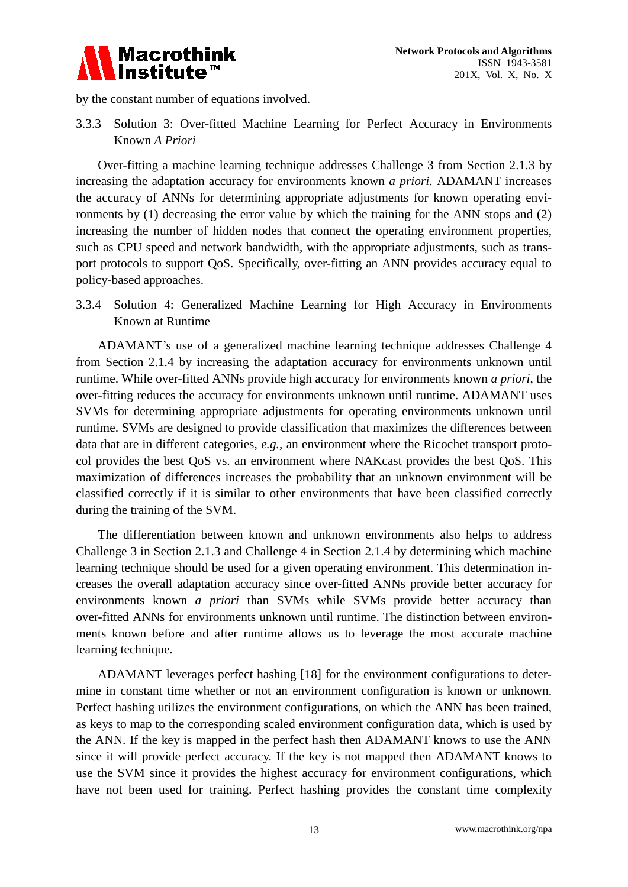

by the constant number of equations involved.

<span id="page-12-0"></span>3.3.3 Solution 3: Over-fitted Machine Learning for Perfect Accuracy in Environments Known *A Priori*

Over-fitting a machine learning technique addresses Challenge 3 from Section [2.1.3](#page-6-1) by increasing the adaptation accuracy for environments known *a priori*. ADAMANT increases the accuracy of ANNs for determining appropriate adjustments for known operating environments by (1) decreasing the error value by which the training for the ANN stops and (2) increasing the number of hidden nodes that connect the operating environment properties, such as CPU speed and network bandwidth, with the appropriate adjustments, such as transport protocols to support QoS. Specifically, over-fitting an ANN provides accuracy equal to policy-based approaches.

<span id="page-12-1"></span>3.3.4 Solution 4: Generalized Machine Learning for High Accuracy in Environments Known at Runtime

ADAMANT's use of a generalized machine learning technique addresses Challenge 4 from Section [2.1.4](#page-6-2) by increasing the adaptation accuracy for environments unknown until runtime. While over-fitted ANNs provide high accuracy for environments known *a priori*, the over-fitting reduces the accuracy for environments unknown until runtime. ADAMANT uses SVMs for determining appropriate adjustments for operating environments unknown until runtime. SVMs are designed to provide classification that maximizes the differences between data that are in different categories, *e.g.*, an environment where the Ricochet transport protocol provides the best QoS vs. an environment where NAKcast provides the best QoS. This maximization of differences increases the probability that an unknown environment will be classified correctly if it is similar to other environments that have been classified correctly during the training of the SVM.

The differentiation between known and unknown environments also helps to address Challenge 3 in Section [2.1.3](#page-6-1) and Challenge 4 in Section [2.1.4](#page-6-2) by determining which machine learning technique should be used for a given operating environment. This determination increases the overall adaptation accuracy since over-fitted ANNs provide better accuracy for environments known *a priori* than SVMs while SVMs provide better accuracy than over-fitted ANNs for environments unknown until runtime. The distinction between environments known before and after runtime allows us to leverage the most accurate machine learning technique.

ADAMANT leverages perfect hashing [18] for the environment configurations to determine in constant time whether or not an environment configuration is known or unknown. Perfect hashing utilizes the environment configurations, on which the ANN has been trained, as keys to map to the corresponding scaled environment configuration data, which is used by the ANN. If the key is mapped in the perfect hash then ADAMANT knows to use the ANN since it will provide perfect accuracy. If the key is not mapped then ADAMANT knows to use the SVM since it provides the highest accuracy for environment configurations, which have not been used for training. Perfect hashing provides the constant time complexity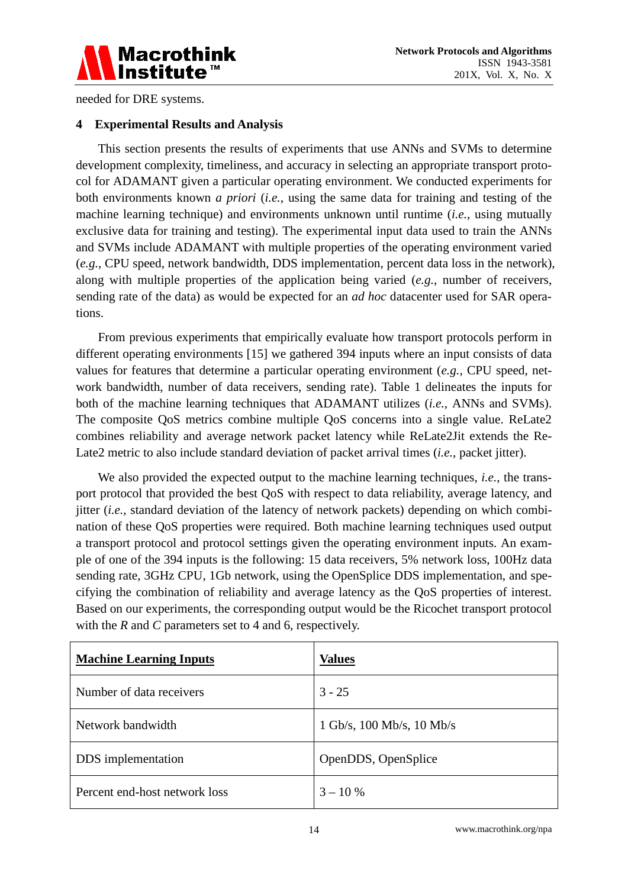

needed for DRE systems.

#### <span id="page-13-0"></span>**4 Experimental Results and Analysis**

This section presents the results of experiments that use ANNs and SVMs to determine development complexity, timeliness, and accuracy in selecting an appropriate transport protocol for ADAMANT given a particular operating environment. We conducted experiments for both environments known *a priori* (*i.e.*, using the same data for training and testing of the machine learning technique) and environments unknown until runtime (*i.e.*, using mutually exclusive data for training and testing). The experimental input data used to train the ANNs and SVMs include ADAMANT with multiple properties of the operating environment varied (*e.g.*, CPU speed, network bandwidth, DDS implementation, percent data loss in the network), along with multiple properties of the application being varied (*e.g.*, number of receivers, sending rate of the data) as would be expected for an *ad hoc* datacenter used for SAR operations.

From previous experiments that empirically evaluate how transport protocols perform in different operating environments [15] we gathered 394 inputs where an input consists of data values for features that determine a particular operating environment (*e.g.*, CPU speed, network bandwidth, number of data receivers, sending rate). [Table 1](#page-14-0) delineates the inputs for both of the machine learning techniques that ADAMANT utilizes (*i.e.*, ANNs and SVMs). The composite QoS metrics combine multiple QoS concerns into a single value. ReLate2 combines reliability and average network packet latency while ReLate2Jit extends the Re-Late2 metric to also include standard deviation of packet arrival times (*i.e.*, packet jitter).

We also provided the expected output to the machine learning techniques, *i.e.*, the transport protocol that provided the best QoS with respect to data reliability, average latency, and jitter (*i.e.*, standard deviation of the latency of network packets) depending on which combination of these QoS properties were required. Both machine learning techniques used output a transport protocol and protocol settings given the operating environment inputs. An example of one of the 394 inputs is the following: 15 data receivers, 5% network loss, 100Hz data sending rate, 3GHz CPU, 1Gb network, using the OpenSplice DDS implementation, and specifying the combination of reliability and average latency as the QoS properties of interest. Based on our experiments, the corresponding output would be the Ricochet transport protocol with the *R* and *C* parameters set to 4 and 6, respectively.

| <b>Machine Learning Inputs</b> | <b>Values</b>             |
|--------------------------------|---------------------------|
| Number of data receivers       | $3 - 25$                  |
| Network bandwidth              | 1 Gb/s, 100 Mb/s, 10 Mb/s |
| DDS implementation             | OpenDDS, OpenSplice       |
| Percent end-host network loss  | $3 - 10\%$                |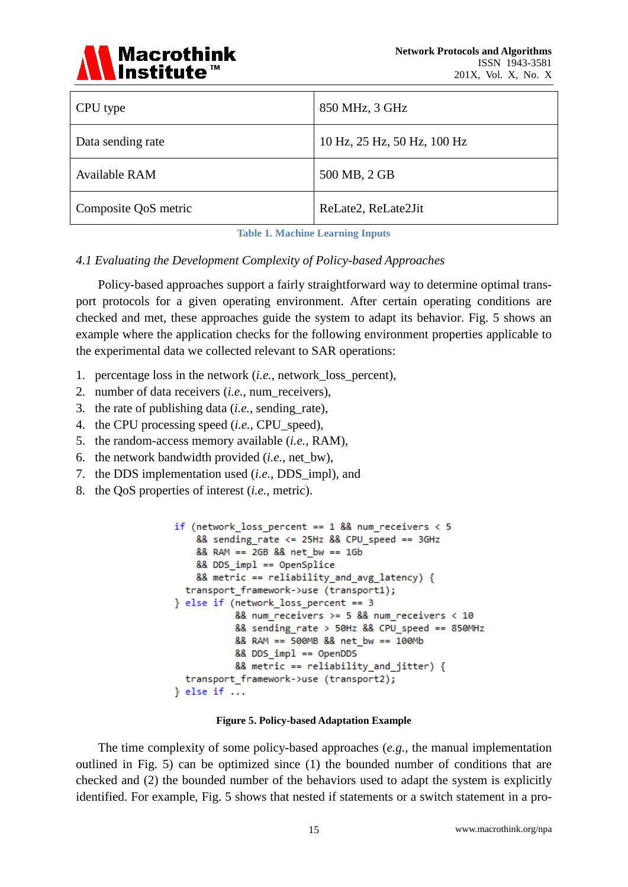

| CPU type             | 850 MHz, 3 GHz              |
|----------------------|-----------------------------|
| Data sending rate    | 10 Hz, 25 Hz, 50 Hz, 100 Hz |
| Available RAM        | 500 MB, 2 GB                |
| Composite QoS metric | ReLate2, ReLate2Jit         |

**Table 1. Machine Learning Inputs**

#### <span id="page-14-0"></span>*4.1 Evaluating the Development Complexity of Policy-based Approaches*

Policy-based approaches support a fairly straightforward way to determine optimal transport protocols for a given operating environment. After certain operating conditions are checked and met, these approaches guide the system to adapt its behavior. [Fig.](#page-14-1) 5 shows an example where the application checks for the following environment properties applicable to the experimental data we collected relevant to SAR operations:

- 1. percentage loss in the network (*i.e.*, network\_loss\_percent),
- 2. number of data receivers (*i.e.*, num\_receivers),
- 3. the rate of publishing data (*i.e.*, sending\_rate),
- 4. the CPU processing speed (*i.e.*, CPU\_speed),
- 5. the random-access memory available (*i.e.*, RAM),
- 6. the network bandwidth provided (*i.e.*, net\_bw),
- 7. the DDS implementation used (*i.e.*, DDS\_impl), and
- 8. the QoS properties of interest (*i.e.*, metric).

```
if (network_loss_percent == 1 && num_receivers < 5&& sending rate \le 25Hz && CPU speed == 3GHz
    && RAM == 2GB && net bw == 1Gb
    && DDS impl == OpenSplice
    && metric == reliability_and_avg_latency) {
  transport_framework->use (transport1);
} else if (network_loss_percent == 3
           && num_receivers >= 5 && num_receivers < 10&& sending_rate > 50Hz && CPU_speed == 850MHz
           && RAM == 500MB && net bw == 100Mb
           && DDS impl == OpenDDS
           && metric == reliability_and jitter) {
  transport_framework->use (transport2);
} else if \ldots
```
#### **Figure 5. Policy-based Adaptation Example**

<span id="page-14-1"></span>The time complexity of some policy-based approaches (*e.g.*, the manual implementation outlined in [Fig.](#page-14-1) 5) can be optimized since (1) the bounded number of conditions that are checked and (2) the bounded number of the behaviors used to adapt the system is explicitly identified. For example, [Fig.](#page-14-1) 5 shows that nested if statements or a switch statement in a pro-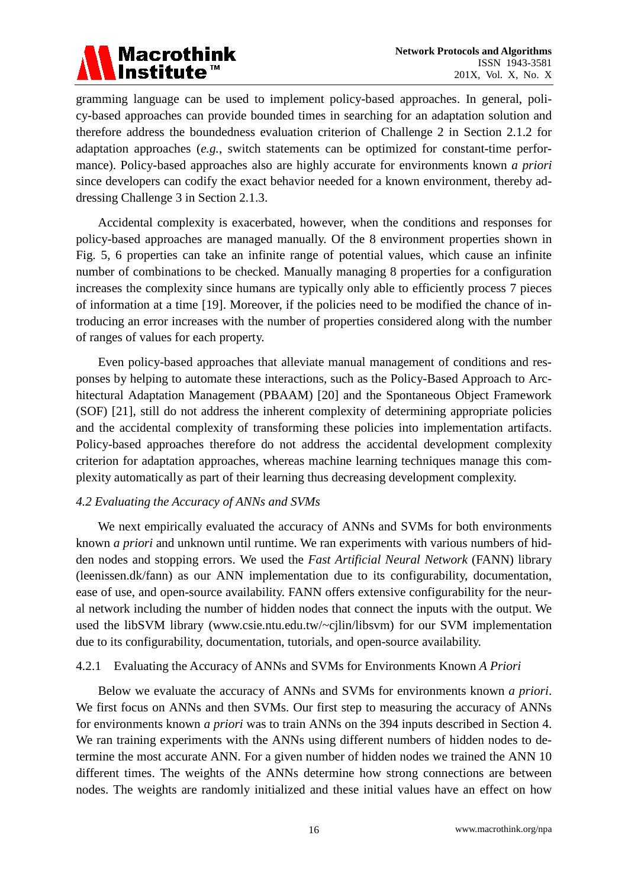### Macrothink<br>|Institute™

gramming language can be used to implement policy-based approaches. In general, policy-based approaches can provide bounded times in searching for an adaptation solution and therefore address the boundedness evaluation criterion of Challenge 2 in Section [2.1.2](#page-5-3) for adaptation approaches (*e.g.*, switch statements can be optimized for constant-time performance). Policy-based approaches also are highly accurate for environments known *a priori* since developers can codify the exact behavior needed for a known environment, thereby addressing Challenge 3 in Section [2.1.3.](#page-6-1)

Accidental complexity is exacerbated, however, when the conditions and responses for policy-based approaches are managed manually. Of the 8 environment properties shown in [Fig.](#page-14-1) 5, 6 properties can take an infinite range of potential values, which cause an infinite number of combinations to be checked. Manually managing 8 properties for a configuration increases the complexity since humans are typically only able to efficiently process 7 pieces of information at a time [19]. Moreover, if the policies need to be modified the chance of introducing an error increases with the number of properties considered along with the number of ranges of values for each property.

Even policy-based approaches that alleviate manual management of conditions and responses by helping to automate these interactions, such as the Policy-Based Approach to Architectural Adaptation Management (PBAAM) [20] and the Spontaneous Object Framework (SOF) [21], still do not address the inherent complexity of determining appropriate policies and the accidental complexity of transforming these policies into implementation artifacts. Policy-based approaches therefore do not address the accidental development complexity criterion for adaptation approaches, whereas machine learning techniques manage this complexity automatically as part of their learning thus decreasing development complexity.

#### <span id="page-15-1"></span>*4.2 Evaluating the Accuracy of ANNs and SVMs*

We next empirically evaluated the accuracy of ANNs and SVMs for both environments known *a priori* and unknown until runtime. We ran experiments with various numbers of hidden nodes and stopping errors. We used the *Fast Artificial Neural Network* (FANN) library (leenissen.dk/fann) as our ANN implementation due to its configurability, documentation, ease of use, and open-source availability. FANN offers extensive configurability for the neural network including the number of hidden nodes that connect the inputs with the output. We used the libSVM library (www.csie.ntu.edu.tw/~cjlin/libsvm) for our SVM implementation due to its configurability, documentation, tutorials, and open-source availability.

#### <span id="page-15-0"></span>4.2.1 Evaluating the Accuracy of ANNs and SVMs for Environments Known *A Priori*

Below we evaluate the accuracy of ANNs and SVMs for environments known *a priori*. We first focus on ANNs and then SVMs. Our first step to measuring the accuracy of ANNs for environments known *a priori* was to train ANNs on the 394 inputs described in Section [4.](#page-13-0) We ran training experiments with the ANNs using different numbers of hidden nodes to determine the most accurate ANN. For a given number of hidden nodes we trained the ANN 10 different times. The weights of the ANNs determine how strong connections are between nodes. The weights are randomly initialized and these initial values have an effect on how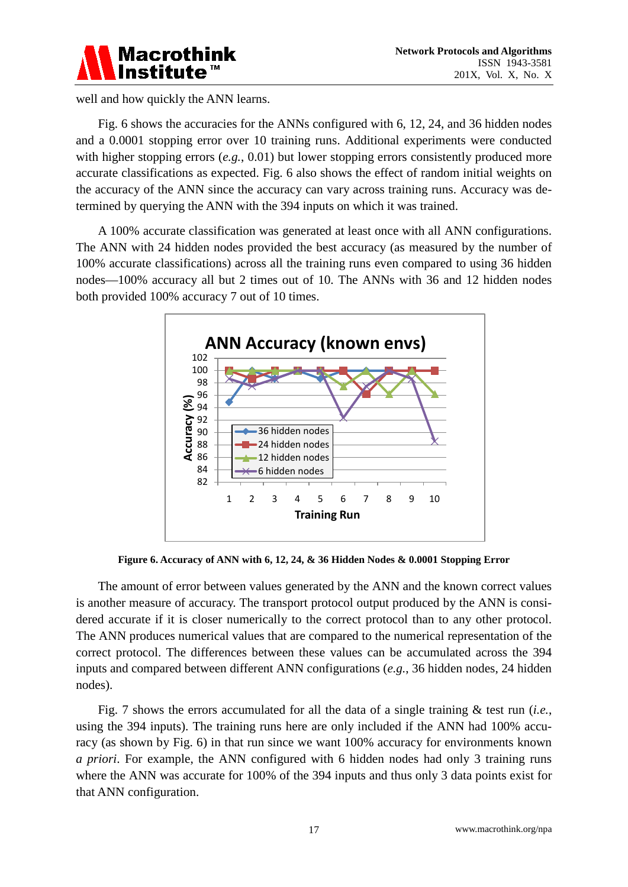

well and how quickly the ANN learns.

[Fig.](#page-16-0) 6 shows the accuracies for the ANNs configured with 6, 12, 24, and 36 hidden nodes and a 0.0001 stopping error over 10 training runs. Additional experiments were conducted with higher stopping errors (*e.g.*, 0.01) but lower stopping errors consistently produced more accurate classifications as expected. [Fig.](#page-16-0) 6 also shows the effect of random initial weights on the accuracy of the ANN since the accuracy can vary across training runs. Accuracy was determined by querying the ANN with the 394 inputs on which it was trained.

A 100% accurate classification was generated at least once with all ANN configurations. The ANN with 24 hidden nodes provided the best accuracy (as measured by the number of 100% accurate classifications) across all the training runs even compared to using 36 hidden nodes—100% accuracy all but 2 times out of 10. The ANNs with 36 and 12 hidden nodes both provided 100% accuracy 7 out of 10 times.



**Figure 6. Accuracy of ANN with 6, 12, 24, & 36 Hidden Nodes & 0.0001 Stopping Error**

<span id="page-16-0"></span>The amount of error between values generated by the ANN and the known correct values is another measure of accuracy. The transport protocol output produced by the ANN is considered accurate if it is closer numerically to the correct protocol than to any other protocol. The ANN produces numerical values that are compared to the numerical representation of the correct protocol. The differences between these values can be accumulated across the 394 inputs and compared between different ANN configurations (*e.g.*, 36 hidden nodes, 24 hidden nodes).

[Fig.](#page-17-0) 7 shows the errors accumulated for all the data of a single training & test run (*i.e.*, using the 394 inputs). The training runs here are only included if the ANN had 100% accuracy (as shown by [Fig.](#page-16-0) 6) in that run since we want 100% accuracy for environments known *a priori*. For example, the ANN configured with 6 hidden nodes had only 3 training runs where the ANN was accurate for 100% of the 394 inputs and thus only 3 data points exist for that ANN configuration.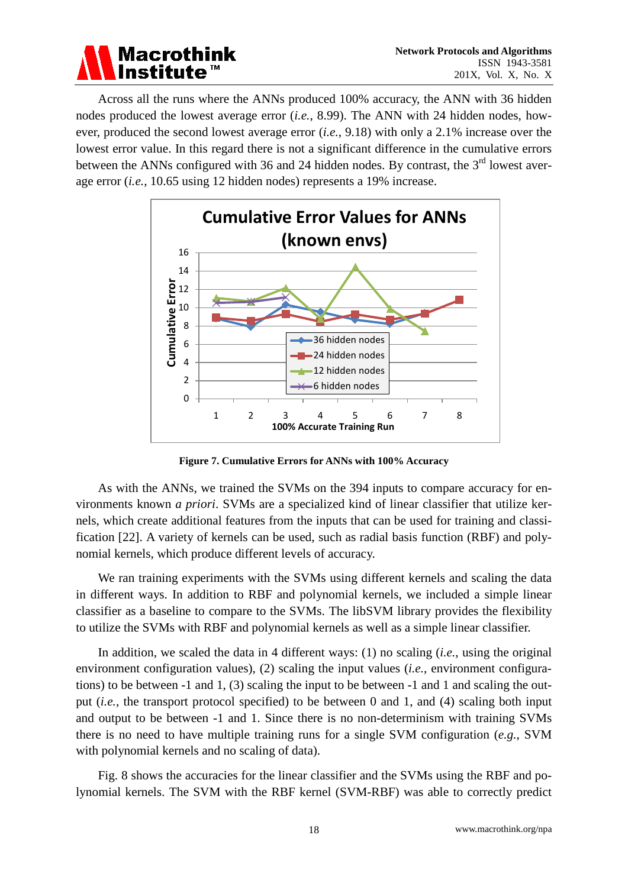

Across all the runs where the ANNs produced 100% accuracy, the ANN with 36 hidden nodes produced the lowest average error (*i.e.*, 8.99). The ANN with 24 hidden nodes, however, produced the second lowest average error (*i.e.*, 9.18) with only a 2.1% increase over the lowest error value. In this regard there is not a significant difference in the cumulative errors between the ANNs configured with 36 and 24 hidden nodes. By contrast, the 3<sup>rd</sup> lowest average error (*i.e.*, 10.65 using 12 hidden nodes) represents a 19% increase.



**Figure 7. Cumulative Errors for ANNs with 100% Accuracy**

<span id="page-17-0"></span>As with the ANNs, we trained the SVMs on the 394 inputs to compare accuracy for environments known *a priori*. SVMs are a specialized kind of linear classifier that utilize kernels, which create additional features from the inputs that can be used for training and classification [22]. A variety of kernels can be used, such as radial basis function (RBF) and polynomial kernels, which produce different levels of accuracy.

We ran training experiments with the SVMs using different kernels and scaling the data in different ways. In addition to RBF and polynomial kernels, we included a simple linear classifier as a baseline to compare to the SVMs. The libSVM library provides the flexibility to utilize the SVMs with RBF and polynomial kernels as well as a simple linear classifier.

In addition, we scaled the data in 4 different ways: (1) no scaling (*i.e.*, using the original environment configuration values), (2) scaling the input values (*i.e.*, environment configurations) to be between -1 and 1, (3) scaling the input to be between -1 and 1 and scaling the output (*i.e.*, the transport protocol specified) to be between 0 and 1, and (4) scaling both input and output to be between -1 and 1. Since there is no non-determinism with training SVMs there is no need to have multiple training runs for a single SVM configuration (*e.g.*, SVM with polynomial kernels and no scaling of data).

[Fig.](#page-18-0) 8 shows the accuracies for the linear classifier and the SVMs using the RBF and polynomial kernels. The SVM with the RBF kernel (SVM-RBF) was able to correctly predict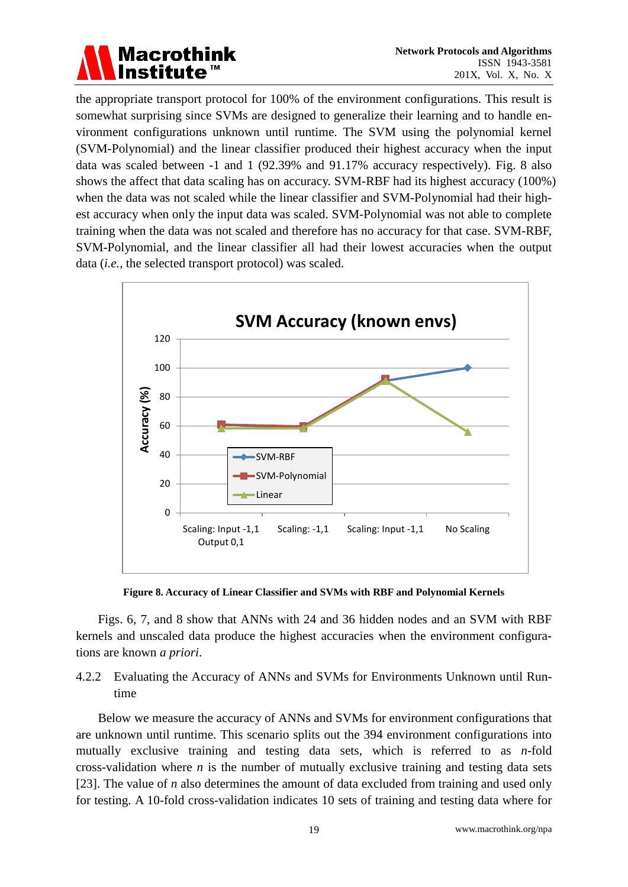

the appropriate transport protocol for 100% of the environment configurations. This result is somewhat surprising since SVMs are designed to generalize their learning and to handle environment configurations unknown until runtime. The SVM using the polynomial kernel (SVM-Polynomial) and the linear classifier produced their highest accuracy when the input data was scaled between -1 and 1 (92.39% and 91.17% accuracy respectively). [Fig.](#page-18-0) 8 also shows the affect that data scaling has on accuracy. SVM-RBF had its highest accuracy (100%) when the data was not scaled while the linear classifier and SVM-Polynomial had their highest accuracy when only the input data was scaled. SVM-Polynomial was not able to complete training when the data was not scaled and therefore has no accuracy for that case. SVM-RBF, SVM-Polynomial, and the linear classifier all had their lowest accuracies when the output data (*i.e.*, the selected transport protocol) was scaled.



**Figure 8. Accuracy of Linear Classifier and SVMs with RBF and Polynomial Kernels**

<span id="page-18-0"></span>[Figs.](#page-16-0) 6, [7,](#page-17-0) and [8](#page-18-0) show that ANNs with 24 and 36 hidden nodes and an SVM with RBF kernels and unscaled data produce the highest accuracies when the environment configurations are known *a priori*.

#### 4.2.2 Evaluating the Accuracy of ANNs and SVMs for Environments Unknown until Runtime

Below we measure the accuracy of ANNs and SVMs for environment configurations that are unknown until runtime. This scenario splits out the 394 environment configurations into mutually exclusive training and testing data sets, which is referred to as *n*-fold cross-validation where *n* is the number of mutually exclusive training and testing data sets [23]. The value of *n* also determines the amount of data excluded from training and used only for testing. A 10-fold cross-validation indicates 10 sets of training and testing data where for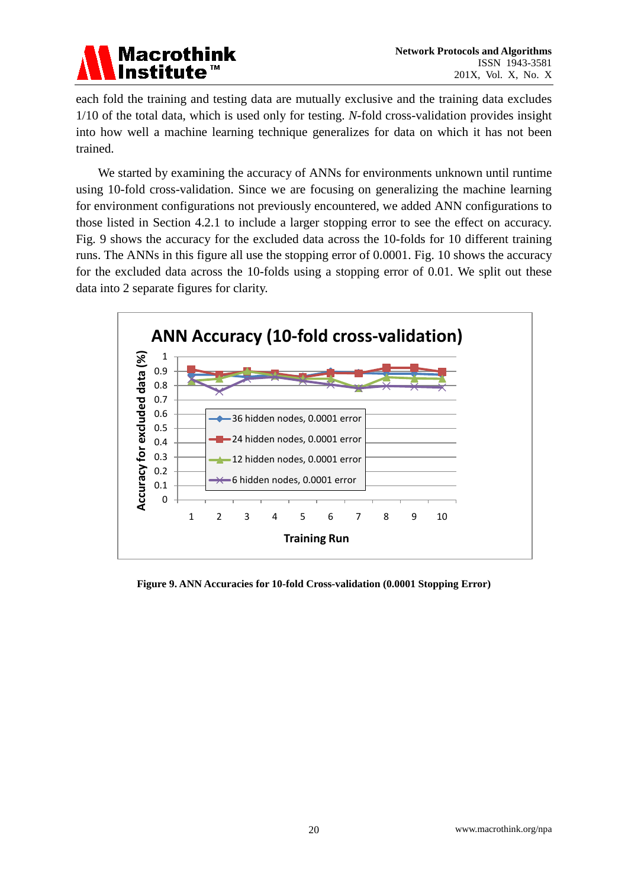

each fold the training and testing data are mutually exclusive and the training data excludes 1/10 of the total data, which is used only for testing. *N*-fold cross-validation provides insight into how well a machine learning technique generalizes for data on which it has not been trained.

We started by examining the accuracy of ANNs for environments unknown until runtime using 10-fold cross-validation. Since we are focusing on generalizing the machine learning for environment configurations not previously encountered, we added ANN configurations to those listed in Section [4.2.1](#page-15-0) to include a larger stopping error to see the effect on accuracy. [Fig.](#page-19-0) 9 shows the accuracy for the excluded data across the 10-folds for 10 different training runs. The ANNs in this figure all use the stopping error of 0.0001. [Fig.](#page-20-0) 10 shows the accuracy for the excluded data across the 10-folds using a stopping error of 0.01. We split out these data into 2 separate figures for clarity.



<span id="page-19-0"></span>**Figure 9. ANN Accuracies for 10-fold Cross-validation (0.0001 Stopping Error)**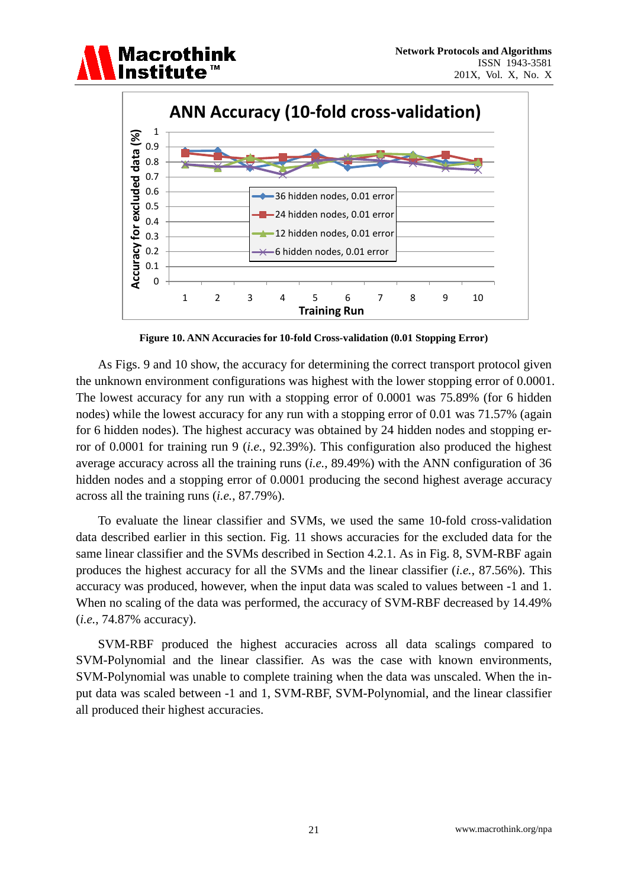



**Figure 10. ANN Accuracies for 10-fold Cross-validation (0.01 Stopping Error)**

<span id="page-20-0"></span>As [Figs.](#page-19-0) 9 and [10](#page-20-0) show, the accuracy for determining the correct transport protocol given the unknown environment configurations was highest with the lower stopping error of 0.0001. The lowest accuracy for any run with a stopping error of 0.0001 was 75.89% (for 6 hidden nodes) while the lowest accuracy for any run with a stopping error of 0.01 was 71.57% (again for 6 hidden nodes). The highest accuracy was obtained by 24 hidden nodes and stopping error of 0.0001 for training run 9 (*i.e.*, 92.39%). This configuration also produced the highest average accuracy across all the training runs (*i.e.*, 89.49%) with the ANN configuration of 36 hidden nodes and a stopping error of 0.0001 producing the second highest average accuracy across all the training runs (*i.e.*, 87.79%).

To evaluate the linear classifier and SVMs, we used the same 10-fold cross-validation data described earlier in this section. [Fig.](#page-21-0) 11 shows accuracies for the excluded data for the same linear classifier and the SVMs described in Section [4.2.1.](#page-15-0) As in [Fig.](#page-18-0) 8, SVM-RBF again produces the highest accuracy for all the SVMs and the linear classifier (*i.e.*, 87.56%). This accuracy was produced, however, when the input data was scaled to values between -1 and 1. When no scaling of the data was performed, the accuracy of SVM-RBF decreased by 14.49% (*i.e.*, 74.87% accuracy).

SVM-RBF produced the highest accuracies across all data scalings compared to SVM-Polynomial and the linear classifier. As was the case with known environments, SVM-Polynomial was unable to complete training when the data was unscaled. When the input data was scaled between -1 and 1, SVM-RBF, SVM-Polynomial, and the linear classifier all produced their highest accuracies.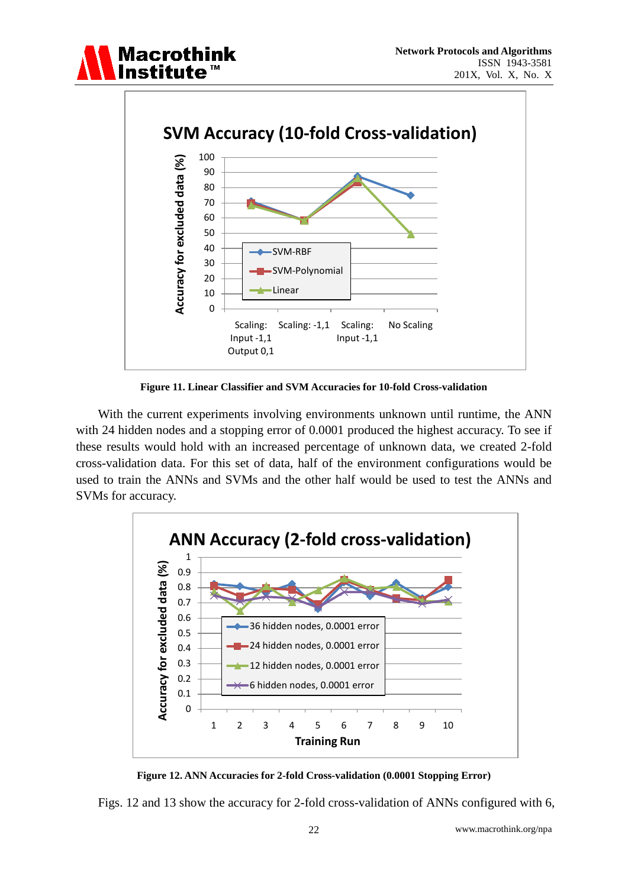



**Figure 11. Linear Classifier and SVM Accuracies for 10-fold Cross-validation**

<span id="page-21-0"></span>With the current experiments involving environments unknown until runtime, the ANN with 24 hidden nodes and a stopping error of 0.0001 produced the highest accuracy. To see if these results would hold with an increased percentage of unknown data, we created 2-fold cross-validation data. For this set of data, half of the environment configurations would be used to train the ANNs and SVMs and the other half would be used to test the ANNs and SVMs for accuracy.



**Figure 12. ANN Accuracies for 2-fold Cross-validation (0.0001 Stopping Error)**

<span id="page-21-1"></span>[Figs.](#page-21-1) 12 and [13](#page-22-0) show the accuracy for 2-fold cross-validation of ANNs configured with 6,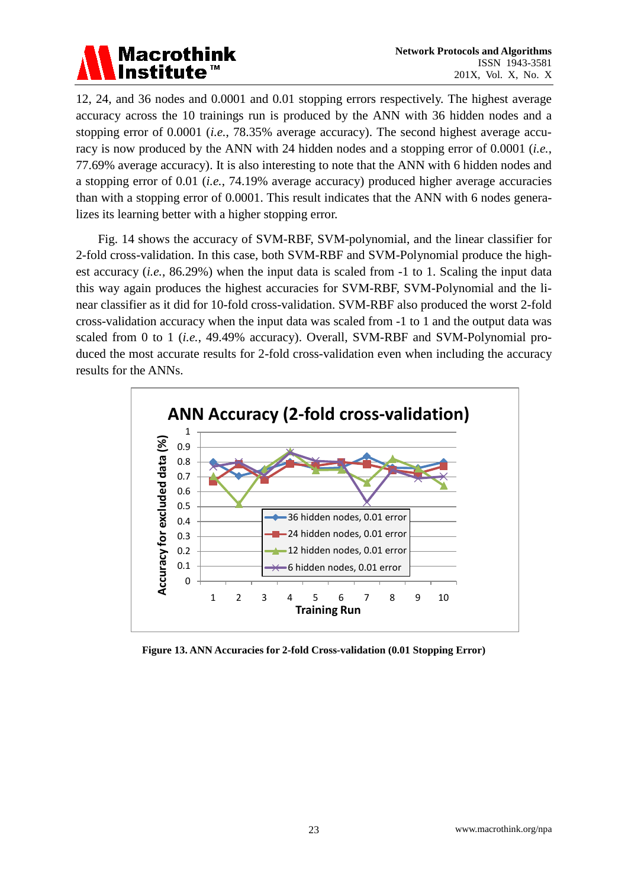

12, 24, and 36 nodes and 0.0001 and 0.01 stopping errors respectively. The highest average accuracy across the 10 trainings run is produced by the ANN with 36 hidden nodes and a stopping error of 0.0001 (*i.e.*, 78.35% average accuracy). The second highest average accuracy is now produced by the ANN with 24 hidden nodes and a stopping error of 0.0001 (*i.e.*, 77.69% average accuracy). It is also interesting to note that the ANN with 6 hidden nodes and a stopping error of 0.01 (*i.e.*, 74.19% average accuracy) produced higher average accuracies than with a stopping error of 0.0001. This result indicates that the ANN with 6 nodes generalizes its learning better with a higher stopping error.

[Fig.](#page-23-0) 14 shows the accuracy of SVM-RBF, SVM-polynomial, and the linear classifier for 2-fold cross-validation. In this case, both SVM-RBF and SVM-Polynomial produce the highest accuracy (*i.e.*, 86.29%) when the input data is scaled from -1 to 1. Scaling the input data this way again produces the highest accuracies for SVM-RBF, SVM-Polynomial and the linear classifier as it did for 10-fold cross-validation. SVM-RBF also produced the worst 2-fold cross-validation accuracy when the input data was scaled from -1 to 1 and the output data was scaled from 0 to 1 (*i.e.*, 49.49% accuracy). Overall, SVM-RBF and SVM-Polynomial produced the most accurate results for 2-fold cross-validation even when including the accuracy results for the ANNs.



<span id="page-22-0"></span>**Figure 13. ANN Accuracies for 2-fold Cross-validation (0.01 Stopping Error)**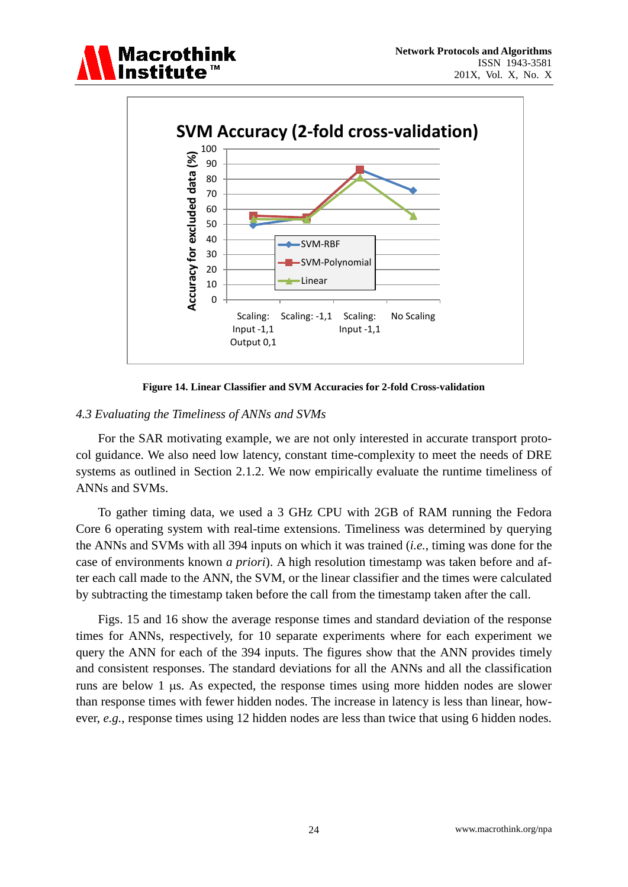



**Figure 14. Linear Classifier and SVM Accuracies for 2-fold Cross-validation**

#### <span id="page-23-1"></span><span id="page-23-0"></span>*4.3 Evaluating the Timeliness of ANNs and SVMs*

For the SAR motivating example, we are not only interested in accurate transport protocol guidance. We also need low latency, constant time-complexity to meet the needs of DRE systems as outlined in Section [2.1.2.](#page-5-3) We now empirically evaluate the runtime timeliness of ANNs and SVMs.

To gather timing data, we used a 3 GHz CPU with 2GB of RAM running the Fedora Core 6 operating system with real-time extensions. Timeliness was determined by querying the ANNs and SVMs with all 394 inputs on which it was trained (*i.e.*, timing was done for the case of environments known *a priori*). A high resolution timestamp was taken before and after each call made to the ANN, the SVM, or the linear classifier and the times were calculated by subtracting the timestamp taken before the call from the timestamp taken after the call.

[Figs.](#page-24-0) 15 and [16](#page-24-1) show the average response times and standard deviation of the response times for ANNs, respectively, for 10 separate experiments where for each experiment we query the ANN for each of the 394 inputs. The figures show that the ANN provides timely and consistent responses. The standard deviations for all the ANNs and all the classification runs are below 1 µs. As expected, the response times using more hidden nodes are slower than response times with fewer hidden nodes. The increase in latency is less than linear, however, *e.g.*, response times using 12 hidden nodes are less than twice that using 6 hidden nodes.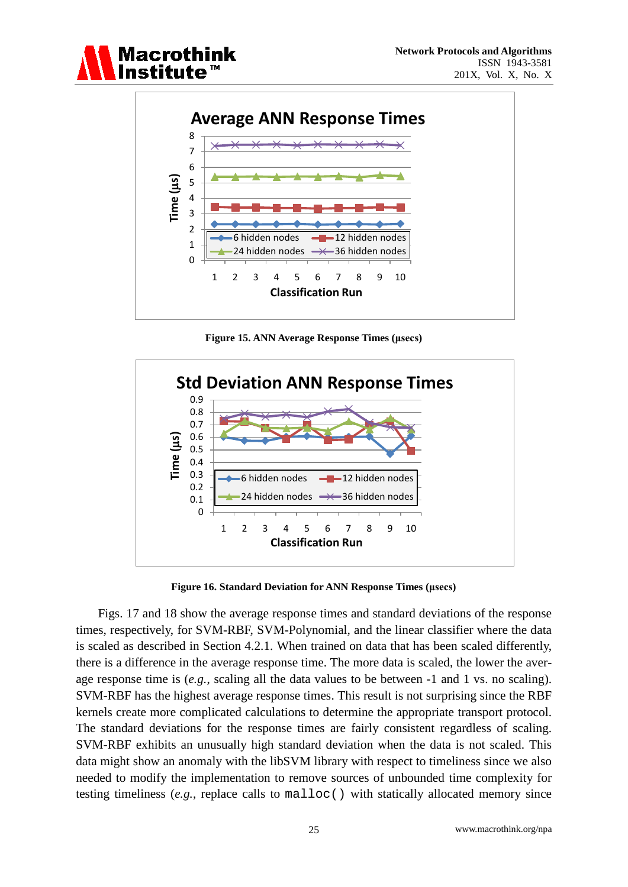



**Figure 15. ANN Average Response Times (μsecs)**

<span id="page-24-0"></span>

**Figure 16. Standard Deviation for ANN Response Times (μsecs)**

<span id="page-24-1"></span>[Figs.](#page-25-0) 17 and [18](#page-25-1) show the average response times and standard deviations of the response times, respectively, for SVM-RBF, SVM-Polynomial, and the linear classifier where the data is scaled as described in Section [4.2.1.](#page-15-0) When trained on data that has been scaled differently, there is a difference in the average response time. The more data is scaled, the lower the average response time is (*e.g.*, scaling all the data values to be between -1 and 1 vs. no scaling). SVM-RBF has the highest average response times. This result is not surprising since the RBF kernels create more complicated calculations to determine the appropriate transport protocol. The standard deviations for the response times are fairly consistent regardless of scaling. SVM-RBF exhibits an unusually high standard deviation when the data is not scaled. This data might show an anomaly with the libSVM library with respect to timeliness since we also needed to modify the implementation to remove sources of unbounded time complexity for testing timeliness (*e.g.*, replace calls to malloc() with statically allocated memory since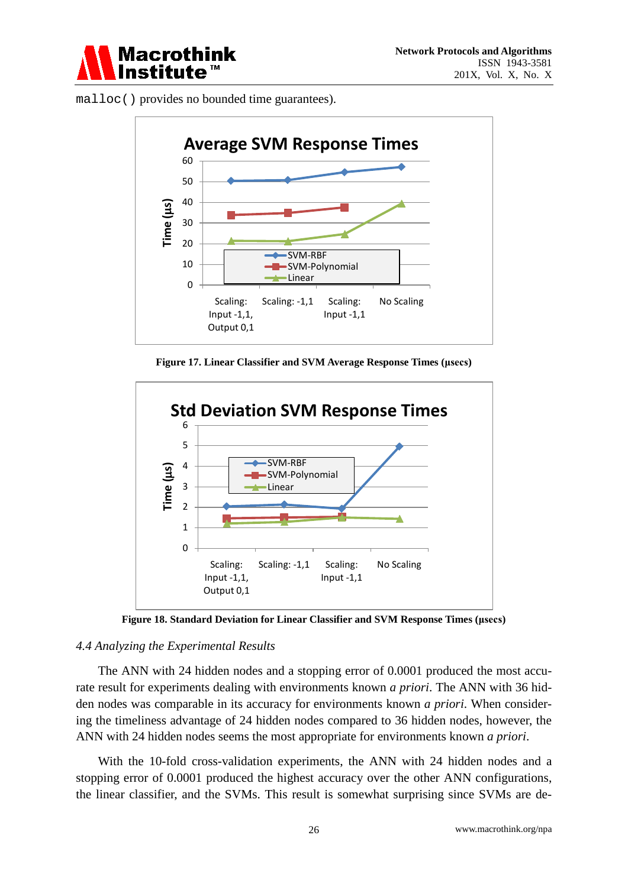

malloc() provides no bounded time guarantees).



**Figure 17. Linear Classifier and SVM Average Response Times (μsecs)**

<span id="page-25-0"></span>

**Figure 18. Standard Deviation for Linear Classifier and SVM Response Times (μsecs)**

#### <span id="page-25-1"></span>*4.4 Analyzing the Experimental Results*

The ANN with 24 hidden nodes and a stopping error of 0.0001 produced the most accurate result for experiments dealing with environments known *a priori*. The ANN with 36 hidden nodes was comparable in its accuracy for environments known *a priori*. When considering the timeliness advantage of 24 hidden nodes compared to 36 hidden nodes, however, the ANN with 24 hidden nodes seems the most appropriate for environments known *a priori*.

With the 10-fold cross-validation experiments, the ANN with 24 hidden nodes and a stopping error of 0.0001 produced the highest accuracy over the other ANN configurations, the linear classifier, and the SVMs. This result is somewhat surprising since SVMs are de-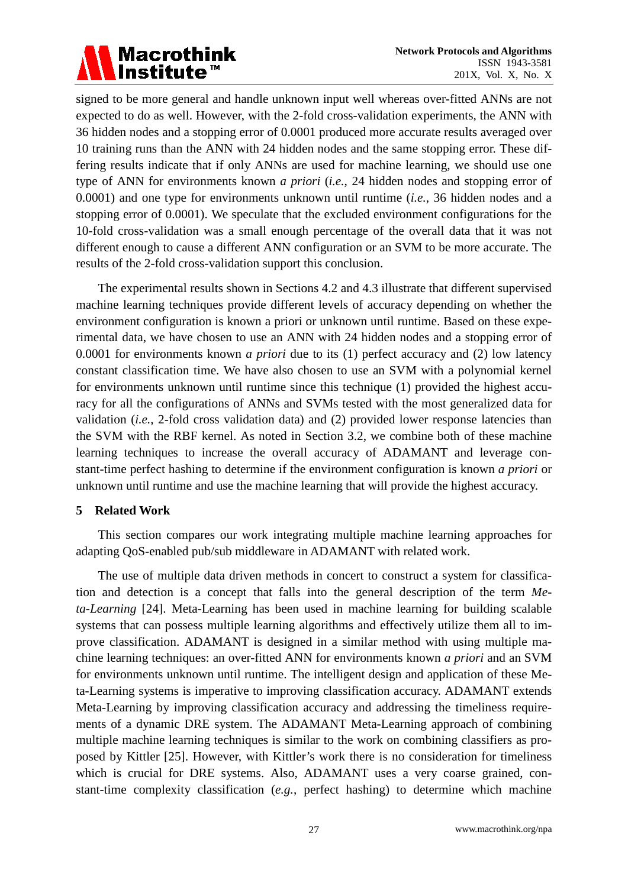

signed to be more general and handle unknown input well whereas over-fitted ANNs are not expected to do as well. However, with the 2-fold cross-validation experiments, the ANN with 36 hidden nodes and a stopping error of 0.0001 produced more accurate results averaged over 10 training runs than the ANN with 24 hidden nodes and the same stopping error. These differing results indicate that if only ANNs are used for machine learning, we should use one type of ANN for environments known *a priori* (*i.e.*, 24 hidden nodes and stopping error of 0.0001) and one type for environments unknown until runtime (*i.e.*, 36 hidden nodes and a stopping error of 0.0001). We speculate that the excluded environment configurations for the 10-fold cross-validation was a small enough percentage of the overall data that it was not different enough to cause a different ANN configuration or an SVM to be more accurate. The results of the 2-fold cross-validation support this conclusion.

The experimental results shown in Sections [4.2](#page-15-1) and [4.3](#page-23-1) illustrate that different supervised machine learning techniques provide different levels of accuracy depending on whether the environment configuration is known a priori or unknown until runtime. Based on these experimental data, we have chosen to use an ANN with 24 hidden nodes and a stopping error of 0.0001 for environments known *a priori* due to its (1) perfect accuracy and (2) low latency constant classification time. We have also chosen to use an SVM with a polynomial kernel for environments unknown until runtime since this technique (1) provided the highest accuracy for all the configurations of ANNs and SVMs tested with the most generalized data for validation (*i.e.*, 2-fold cross validation data) and (2) provided lower response latencies than the SVM with the RBF kernel. As noted in Section [3.2,](#page-9-0) we combine both of these machine learning techniques to increase the overall accuracy of ADAMANT and leverage constant-time perfect hashing to determine if the environment configuration is known *a priori* or unknown until runtime and use the machine learning that will provide the highest accuracy.

#### <span id="page-26-0"></span>**5 Related Work**

This section compares our work integrating multiple machine learning approaches for adapting QoS-enabled pub/sub middleware in ADAMANT with related work.

The use of multiple data driven methods in concert to construct a system for classification and detection is a concept that falls into the general description of the term *Meta-Learning* [24]. Meta-Learning has been used in machine learning for building scalable systems that can possess multiple learning algorithms and effectively utilize them all to improve classification. ADAMANT is designed in a similar method with using multiple machine learning techniques: an over-fitted ANN for environments known *a priori* and an SVM for environments unknown until runtime. The intelligent design and application of these Meta-Learning systems is imperative to improving classification accuracy. ADAMANT extends Meta-Learning by improving classification accuracy and addressing the timeliness requirements of a dynamic DRE system. The ADAMANT Meta-Learning approach of combining multiple machine learning techniques is similar to the work on combining classifiers as proposed by Kittler [25]. However, with Kittler's work there is no consideration for timeliness which is crucial for DRE systems. Also, ADAMANT uses a very coarse grained, constant-time complexity classification (*e.g.*, perfect hashing) to determine which machine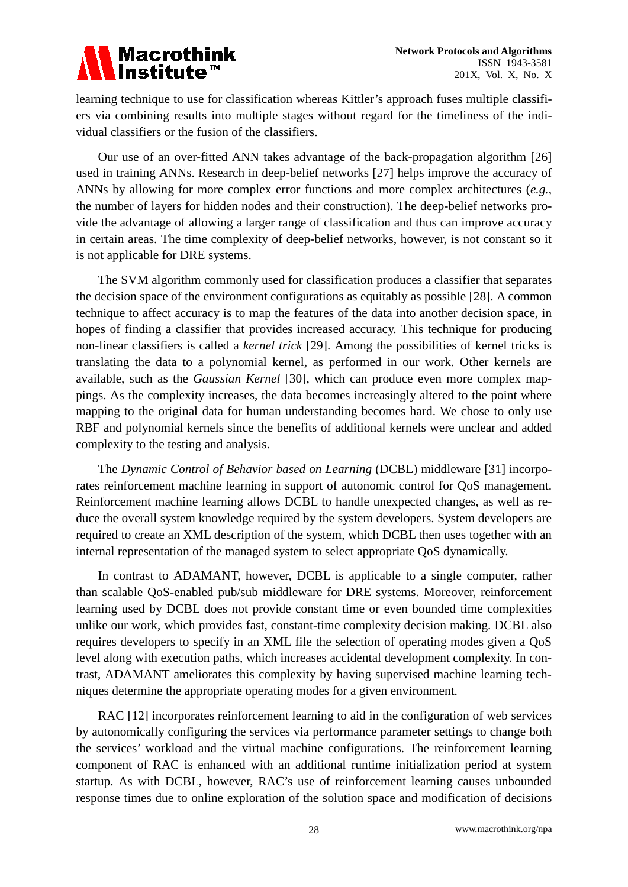

learning technique to use for classification whereas Kittler's approach fuses multiple classifiers via combining results into multiple stages without regard for the timeliness of the individual classifiers or the fusion of the classifiers.

Our use of an over-fitted ANN takes advantage of the back-propagation algorithm [26] used in training ANNs. Research in deep-belief networks [27] helps improve the accuracy of ANNs by allowing for more complex error functions and more complex architectures (*e.g.*, the number of layers for hidden nodes and their construction). The deep-belief networks provide the advantage of allowing a larger range of classification and thus can improve accuracy in certain areas. The time complexity of deep-belief networks, however, is not constant so it is not applicable for DRE systems.

The SVM algorithm commonly used for classification produces a classifier that separates the decision space of the environment configurations as equitably as possible [28]. A common technique to affect accuracy is to map the features of the data into another decision space, in hopes of finding a classifier that provides increased accuracy. This technique for producing non-linear classifiers is called a *kernel trick* [29]. Among the possibilities of kernel tricks is translating the data to a polynomial kernel, as performed in our work. Other kernels are available, such as the *Gaussian Kernel* [30], which can produce even more complex mappings. As the complexity increases, the data becomes increasingly altered to the point where mapping to the original data for human understanding becomes hard. We chose to only use RBF and polynomial kernels since the benefits of additional kernels were unclear and added complexity to the testing and analysis.

The *Dynamic Control of Behavior based on Learning* (DCBL) middleware [31] incorporates reinforcement machine learning in support of autonomic control for QoS management. Reinforcement machine learning allows DCBL to handle unexpected changes, as well as reduce the overall system knowledge required by the system developers. System developers are required to create an XML description of the system, which DCBL then uses together with an internal representation of the managed system to select appropriate QoS dynamically.

In contrast to ADAMANT, however, DCBL is applicable to a single computer, rather than scalable QoS-enabled pub/sub middleware for DRE systems. Moreover, reinforcement learning used by DCBL does not provide constant time or even bounded time complexities unlike our work, which provides fast, constant-time complexity decision making. DCBL also requires developers to specify in an XML file the selection of operating modes given a QoS level along with execution paths, which increases accidental development complexity. In contrast, ADAMANT ameliorates this complexity by having supervised machine learning techniques determine the appropriate operating modes for a given environment.

RAC [12] incorporates reinforcement learning to aid in the configuration of web services by autonomically configuring the services via performance parameter settings to change both the services' workload and the virtual machine configurations. The reinforcement learning component of RAC is enhanced with an additional runtime initialization period at system startup. As with DCBL, however, RAC's use of reinforcement learning causes unbounded response times due to online exploration of the solution space and modification of decisions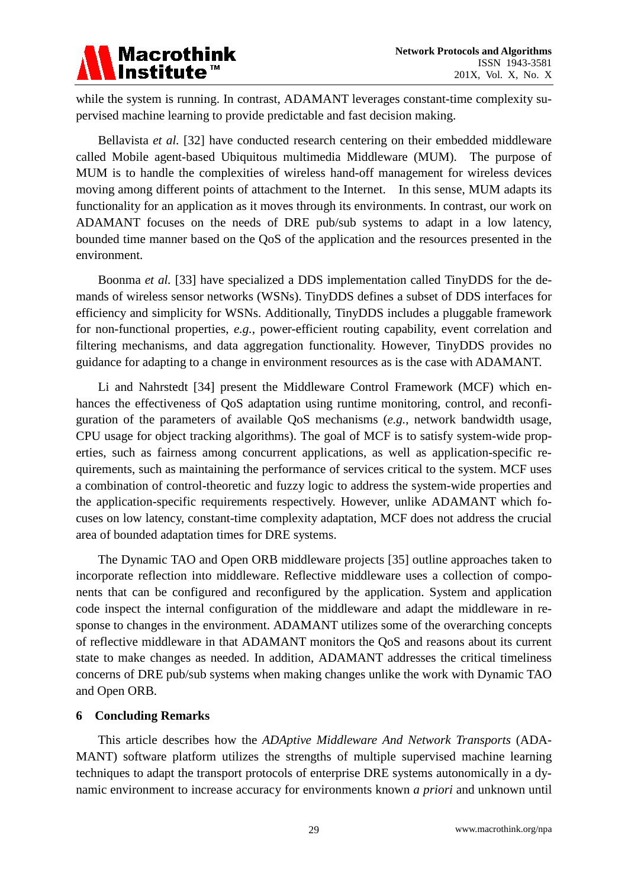# Macrothink<br>Institute™

while the system is running. In contrast, ADAMANT leverages constant-time complexity supervised machine learning to provide predictable and fast decision making.

Bellavista *et al.* [32] have conducted research centering on their embedded middleware called Mobile agent-based Ubiquitous multimedia Middleware (MUM). The purpose of MUM is to handle the complexities of wireless hand-off management for wireless devices moving among different points of attachment to the Internet. In this sense, MUM adapts its functionality for an application as it moves through its environments. In contrast, our work on ADAMANT focuses on the needs of DRE pub/sub systems to adapt in a low latency, bounded time manner based on the QoS of the application and the resources presented in the environment.

Boonma *et al.* [33] have specialized a DDS implementation called TinyDDS for the demands of wireless sensor networks (WSNs). TinyDDS defines a subset of DDS interfaces for efficiency and simplicity for WSNs. Additionally, TinyDDS includes a pluggable framework for non-functional properties, *e.g.*, power-efficient routing capability, event correlation and filtering mechanisms, and data aggregation functionality. However, TinyDDS provides no guidance for adapting to a change in environment resources as is the case with ADAMANT.

Li and Nahrstedt [34] present the Middleware Control Framework (MCF) which enhances the effectiveness of QoS adaptation using runtime monitoring, control, and reconfiguration of the parameters of available QoS mechanisms (*e.g.*, network bandwidth usage, CPU usage for object tracking algorithms). The goal of MCF is to satisfy system-wide properties, such as fairness among concurrent applications, as well as application-specific requirements, such as maintaining the performance of services critical to the system. MCF uses a combination of control-theoretic and fuzzy logic to address the system-wide properties and the application-specific requirements respectively. However, unlike ADAMANT which focuses on low latency, constant-time complexity adaptation, MCF does not address the crucial area of bounded adaptation times for DRE systems.

The Dynamic TAO and Open ORB middleware projects [35] outline approaches taken to incorporate reflection into middleware. Reflective middleware uses a collection of components that can be configured and reconfigured by the application. System and application code inspect the internal configuration of the middleware and adapt the middleware in response to changes in the environment. ADAMANT utilizes some of the overarching concepts of reflective middleware in that ADAMANT monitors the QoS and reasons about its current state to make changes as needed. In addition, ADAMANT addresses the critical timeliness concerns of DRE pub/sub systems when making changes unlike the work with Dynamic TAO and Open ORB.

#### <span id="page-28-0"></span>**6 Concluding Remarks**

This article describes how the *ADAptive Middleware And Network Transports* (ADA-MANT) software platform utilizes the strengths of multiple supervised machine learning techniques to adapt the transport protocols of enterprise DRE systems autonomically in a dynamic environment to increase accuracy for environments known *a priori* and unknown until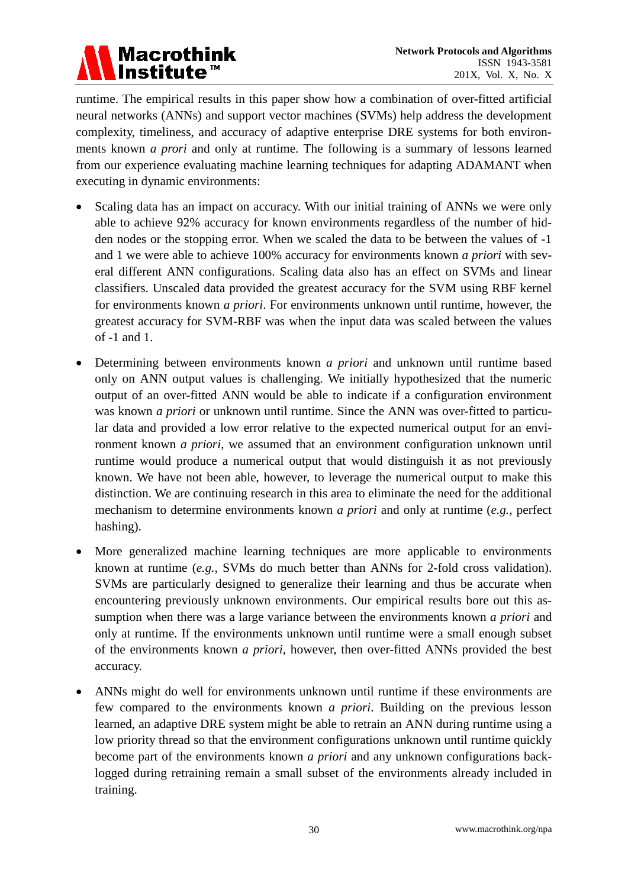# Macrothink<br>|Institute™

runtime. The empirical results in this paper show how a combination of over-fitted artificial neural networks (ANNs) and support vector machines (SVMs) help address the development complexity, timeliness, and accuracy of adaptive enterprise DRE systems for both environments known *a prori* and only at runtime. The following is a summary of lessons learned from our experience evaluating machine learning techniques for adapting ADAMANT when executing in dynamic environments:

- Scaling data has an impact on accuracy. With our initial training of ANNs we were only able to achieve 92% accuracy for known environments regardless of the number of hidden nodes or the stopping error. When we scaled the data to be between the values of -1 and 1 we were able to achieve 100% accuracy for environments known *a priori* with several different ANN configurations. Scaling data also has an effect on SVMs and linear classifiers. Unscaled data provided the greatest accuracy for the SVM using RBF kernel for environments known *a priori*. For environments unknown until runtime, however, the greatest accuracy for SVM-RBF was when the input data was scaled between the values of -1 and 1.
- Determining between environments known *a priori* and unknown until runtime based only on ANN output values is challenging. We initially hypothesized that the numeric output of an over-fitted ANN would be able to indicate if a configuration environment was known *a priori* or unknown until runtime. Since the ANN was over-fitted to particular data and provided a low error relative to the expected numerical output for an environment known *a priori*, we assumed that an environment configuration unknown until runtime would produce a numerical output that would distinguish it as not previously known. We have not been able, however, to leverage the numerical output to make this distinction. We are continuing research in this area to eliminate the need for the additional mechanism to determine environments known *a priori* and only at runtime (*e.g.*, perfect hashing).
- More generalized machine learning techniques are more applicable to environments known at runtime (*e.g.*, SVMs do much better than ANNs for 2-fold cross validation). SVMs are particularly designed to generalize their learning and thus be accurate when encountering previously unknown environments. Our empirical results bore out this assumption when there was a large variance between the environments known *a priori* and only at runtime. If the environments unknown until runtime were a small enough subset of the environments known *a priori*, however, then over-fitted ANNs provided the best accuracy.
- ANNs might do well for environments unknown until runtime if these environments are few compared to the environments known *a priori*. Building on the previous lesson learned, an adaptive DRE system might be able to retrain an ANN during runtime using a low priority thread so that the environment configurations unknown until runtime quickly become part of the environments known *a priori* and any unknown configurations backlogged during retraining remain a small subset of the environments already included in training.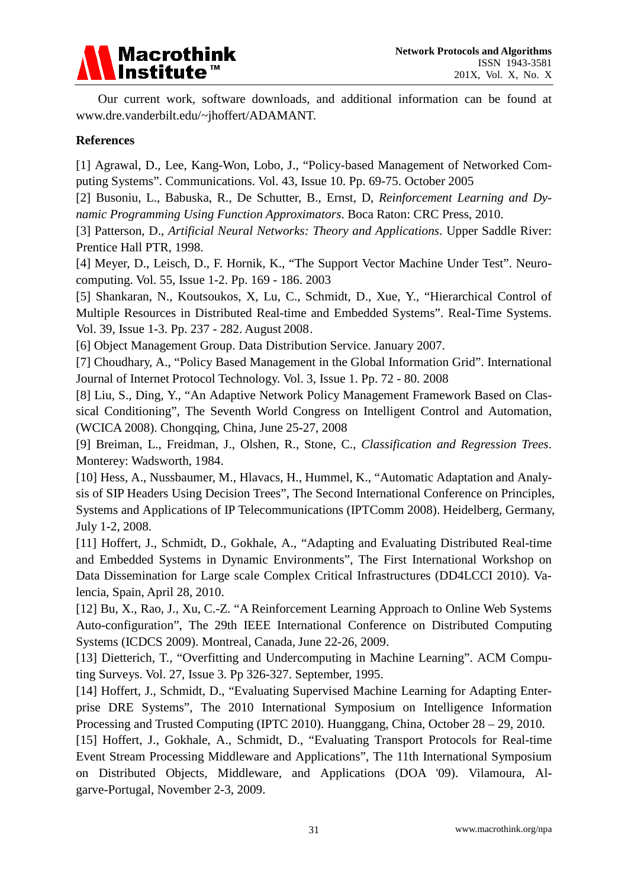

Our current work, software downloads, and additional information can be found at www.dre.vanderbilt.edu/~jhoffert/ADAMANT.

#### **References**

[1] Agrawal, D., Lee, Kang-Won, Lobo, J., "Policy-based Management of Networked Computing Systems". Communications. Vol. 43, Issue 10. Pp. 69-75. October 2005

[2] Busoniu, L., Babuska, R., De Schutter, B., Ernst, D, *Reinforcement Learning and Dynamic Programming Using Function Approximators*. Boca Raton: CRC Press, 2010.

[3] Patterson, D., *Artificial Neural Networks: Theory and Applications*. Upper Saddle River: Prentice Hall PTR, 1998.

[4] Meyer, D., Leisch, D., F. Hornik, K., "The Support Vector Machine Under Test". Neurocomputing. Vol. 55, Issue 1-2. Pp. 169 - 186. 2003

[5] Shankaran, N., Koutsoukos, X, Lu, C., Schmidt, D., Xue, Y., "Hierarchical Control of Multiple Resources in Distributed Real-time and Embedded Systems". Real-Time Systems. Vol. 39, Issue 1-3. Pp. 237 - 282. August 2008.

[6] Object Management Group. Data Distribution Service. January 2007.

[7] Choudhary, A., "Policy Based Management in the Global Information Grid". International Journal of Internet Protocol Technology. Vol. 3, Issue 1. Pp. 72 - 80. 2008

[8] Liu, S., Ding, Y., "An Adaptive Network Policy Management Framework Based on Classical Conditioning", The Seventh World Congress on Intelligent Control and Automation, (WCICA 2008). Chongqing, China, June 25-27, 2008

[9] Breiman, L., Freidman, J., Olshen, R., Stone, C., *Classification and Regression Trees*. Monterey: Wadsworth, 1984.

[10] Hess, A., Nussbaumer, M., Hlavacs, H., Hummel, K., "Automatic Adaptation and Analysis of SIP Headers Using Decision Trees", The Second International Conference on Principles, Systems and Applications of IP Telecommunications (IPTComm 2008). Heidelberg, Germany, July 1-2, 2008.

[11] Hoffert, J., Schmidt, D., Gokhale, A., "Adapting and Evaluating Distributed Real-time and Embedded Systems in Dynamic Environments", The First International Workshop on Data Dissemination for Large scale Complex Critical Infrastructures (DD4LCCI 2010). Valencia, Spain, April 28, 2010.

[12] Bu, X., Rao, J., Xu, C.-Z. "A Reinforcement Learning Approach to Online Web Systems Auto-configuration", The 29th IEEE International Conference on Distributed Computing Systems (ICDCS 2009). Montreal, Canada, June 22-26, 2009.

[13] Dietterich, T., "Overfitting and Undercomputing in Machine Learning". ACM Computing Surveys. Vol. 27, Issue 3. Pp 326-327. September, 1995.

[14] Hoffert, J., Schmidt, D., "Evaluating Supervised Machine Learning for Adapting Enterprise DRE Systems", The 2010 International Symposium on Intelligence Information Processing and Trusted Computing (IPTC 2010). Huanggang, China, October 28 – 29, 2010.

[15] Hoffert, J., Gokhale, A., Schmidt, D., "Evaluating Transport Protocols for Real-time Event Stream Processing Middleware and Applications", The 11th International Symposium on Distributed Objects, Middleware, and Applications (DOA '09). Vilamoura, Algarve-Portugal, November 2-3, 2009.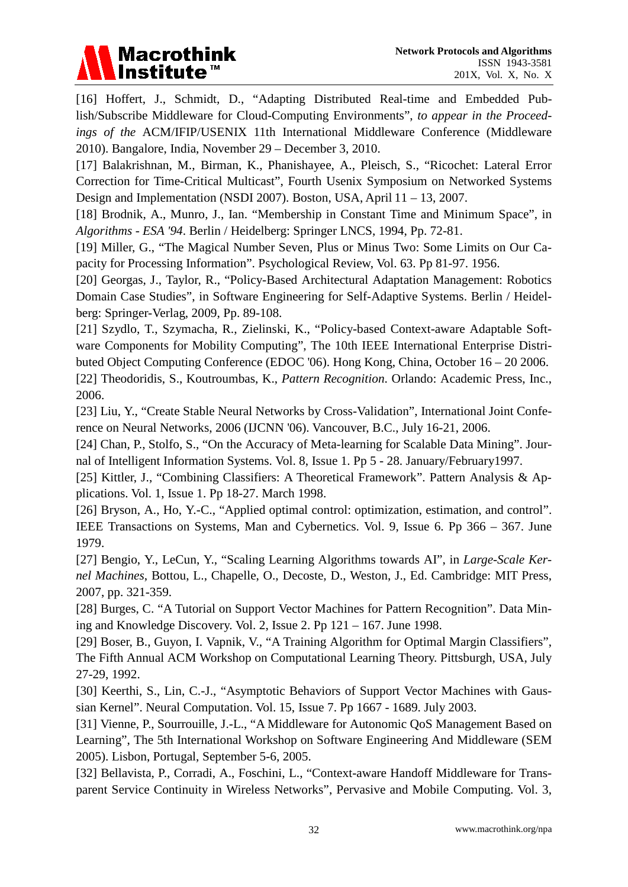### **Macrothink** Institute<sup>™</sup>

[16] Hoffert, J., Schmidt, D., "Adapting Distributed Real-time and Embedded Publish/Subscribe Middleware for Cloud-Computing Environments", *to appear in the Proceedings of the* ACM/IFIP/USENIX 11th International Middleware Conference (Middleware 2010). Bangalore, India, November 29 – December 3, 2010.

[17] Balakrishnan, M., Birman, K., Phanishayee, A., Pleisch, S., "Ricochet: Lateral Error Correction for Time-Critical Multicast", Fourth Usenix Symposium on Networked Systems Design and Implementation (NSDI 2007). Boston, USA, April 11 – 13, 2007.

[18] Brodnik, A., Munro, J., Ian. "Membership in Constant Time and Minimum Space", in *Algorithms - ESA '94*. Berlin / Heidelberg: Springer LNCS, 1994, Pp. 72-81.

[19] Miller, G., "The Magical Number Seven, Plus or Minus Two: Some Limits on Our Capacity for Processing Information". Psychological Review, Vol. 63. Pp 81-97. 1956.

[20] Georgas, J., Taylor, R., "Policy-Based Architectural Adaptation Management: Robotics Domain Case Studies", in Software Engineering for Self-Adaptive Systems. Berlin / Heidelberg: Springer-Verlag, 2009, Pp. 89-108.

[21] Szydlo, T., Szymacha, R., Zielinski, K., "Policy-based Context-aware Adaptable Software Components for Mobility Computing", The 10th IEEE International Enterprise Distributed Object Computing Conference (EDOC '06). Hong Kong, China, October 16 – 20 2006.

[22] Theodoridis, S., Koutroumbas, K., *Pattern Recognition*. Orlando: Academic Press, Inc., 2006.

[23] Liu, Y., "Create Stable Neural Networks by Cross-Validation", International Joint Conference on Neural Networks, 2006 (IJCNN '06). Vancouver, B.C., July 16-21, 2006.

[24] Chan, P., Stolfo, S., "On the Accuracy of Meta-learning for Scalable Data Mining". Journal of Intelligent Information Systems. Vol. 8, Issue 1. Pp 5 - 28. January/February1997.

[25] Kittler, J., "Combining Classifiers: A Theoretical Framework". Pattern Analysis & Applications. Vol. 1, Issue 1. Pp 18-27. March 1998.

[26] Bryson, A., Ho, Y.-C., "Applied optimal control: optimization, estimation, and control". IEEE Transactions on Systems, Man and Cybernetics. Vol. 9, Issue 6. Pp 366 – 367. June 1979.

[27] Bengio, Y., LeCun, Y., "Scaling Learning Algorithms towards AI", in *Large-Scale Kernel Machines*, Bottou, L., Chapelle, O., Decoste, D., Weston, J., Ed. Cambridge: MIT Press, 2007, pp. 321-359.

[28] Burges, C. "A Tutorial on Support Vector Machines for Pattern Recognition". Data Mining and Knowledge Discovery. Vol. 2, Issue 2. Pp 121 – 167. June 1998.

[29] Boser, B., Guyon, I. Vapnik, V., "A Training Algorithm for Optimal Margin Classifiers", The Fifth Annual ACM Workshop on Computational Learning Theory. Pittsburgh, USA, July 27-29, 1992.

[30] Keerthi, S., Lin, C.-J., "Asymptotic Behaviors of Support Vector Machines with Gaussian Kernel". Neural Computation. Vol. 15, Issue 7. Pp 1667 - 1689. July 2003.

[31] Vienne, P., Sourrouille, J.-L., "A Middleware for Autonomic QoS Management Based on Learning", The 5th International Workshop on Software Engineering And Middleware (SEM 2005). Lisbon, Portugal, September 5-6, 2005.

[32] Bellavista, P., Corradi, A., Foschini, L., "Context-aware Handoff Middleware for Transparent Service Continuity in Wireless Networks", Pervasive and Mobile Computing. Vol. 3,